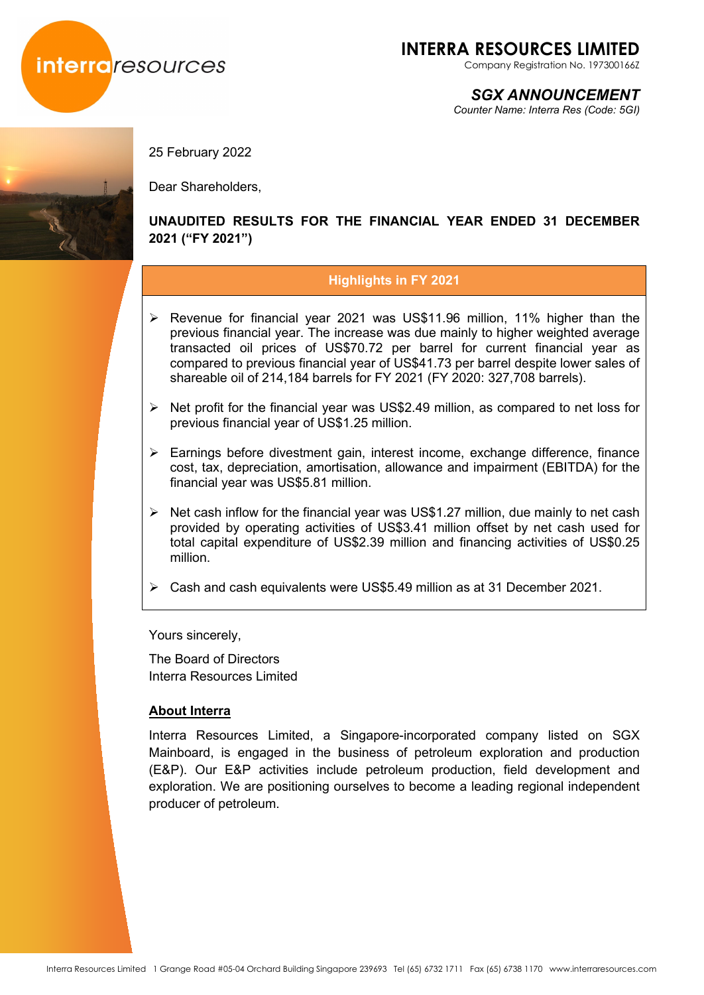

Company Registration No. 197300166Z

*SGX ANNOUNCEMENT*

*Counter Name: Interra Res (Code: 5GI)*



25 February 2022

Dear Shareholders,

## **UNAUDITED RESULTS FOR THE FINANCIAL YEAR ENDED 31 DECEMBER 2021 ("FY 2021")**

## **Highlights in FY 2021**

- $\triangleright$  Revenue for financial year 2021 was US\$11.96 million, 11% higher than the previous financial year. The increase was due mainly to higher weighted average transacted oil prices of US\$70.72 per barrel for current financial year as compared to previous financial year of US\$41.73 per barrel despite lower sales of shareable oil of 214,184 barrels for FY 2021 (FY 2020: 327,708 barrels).
- $\triangleright$  Net profit for the financial year was US\$2.49 million, as compared to net loss for previous financial year of US\$1.25 million.
- Earnings before divestment gain, interest income, exchange difference, finance cost, tax, depreciation, amortisation, allowance and impairment (EBITDA) for the financial year was US\$5.81 million.
- $\triangleright$  Net cash inflow for the financial year was US\$1.27 million, due mainly to net cash provided by operating activities of US\$3.41 million offset by net cash used for total capital expenditure of US\$2.39 million and financing activities of US\$0.25 million.
- Cash and cash equivalents were US\$5.49 million as at 31 December 2021.

Yours sincerely,

The Board of Directors Interra Resources Limited

## **About Interra**

Interra Resources Limited, a Singapore-incorporated company listed on SGX Mainboard, is engaged in the business of petroleum exploration and production (E&P). Our E&P activities include petroleum production, field development and exploration. We are positioning ourselves to become a leading regional independent producer of petroleum.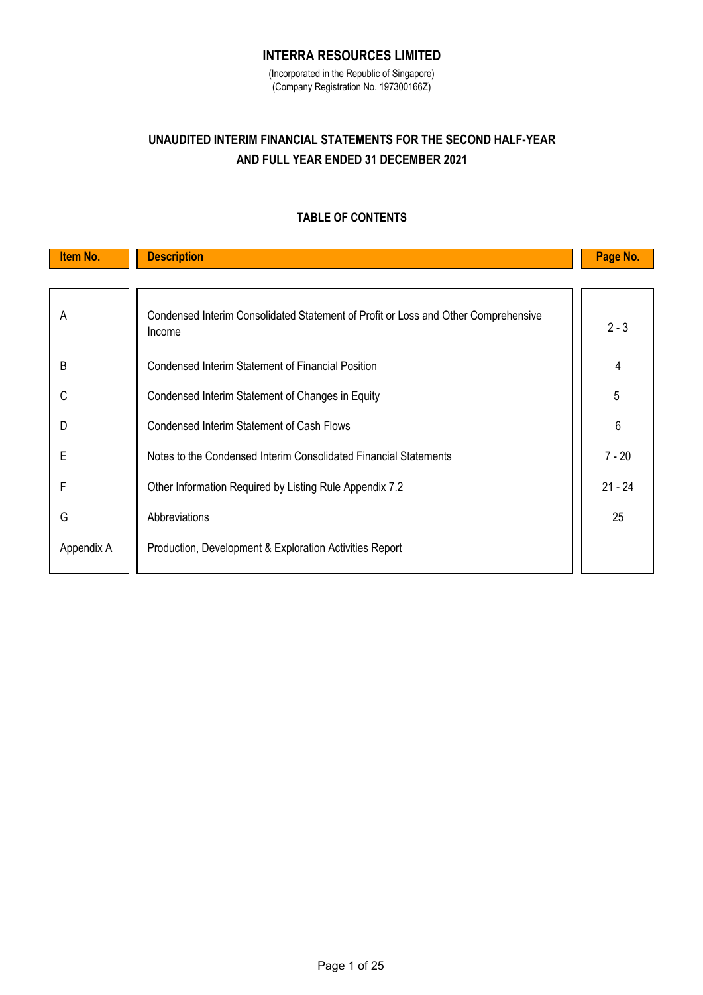## **INTERRA RESOURCES LIMITED**

(Incorporated in the Republic of Singapore) (Company Registration No. 197300166Z)

# **AND FULL YEAR ENDED 31 DECEMBER 2021 UNAUDITED INTERIM FINANCIAL STATEMENTS FOR THE SECOND HALF-YEAR**

## **TABLE OF CONTENTS**

| Item No.   | <b>Description</b>                                                                           | Page No.  |
|------------|----------------------------------------------------------------------------------------------|-----------|
|            |                                                                                              |           |
| A          | Condensed Interim Consolidated Statement of Profit or Loss and Other Comprehensive<br>Income | $2 - 3$   |
| B          | Condensed Interim Statement of Financial Position                                            | 4         |
| C          | Condensed Interim Statement of Changes in Equity                                             | 5         |
| D          | <b>Condensed Interim Statement of Cash Flows</b>                                             | 6         |
| Ε          | Notes to the Condensed Interim Consolidated Financial Statements                             | $7 - 20$  |
| F          | Other Information Required by Listing Rule Appendix 7.2                                      | $21 - 24$ |
| G          | Abbreviations                                                                                | 25        |
| Appendix A | Production, Development & Exploration Activities Report                                      |           |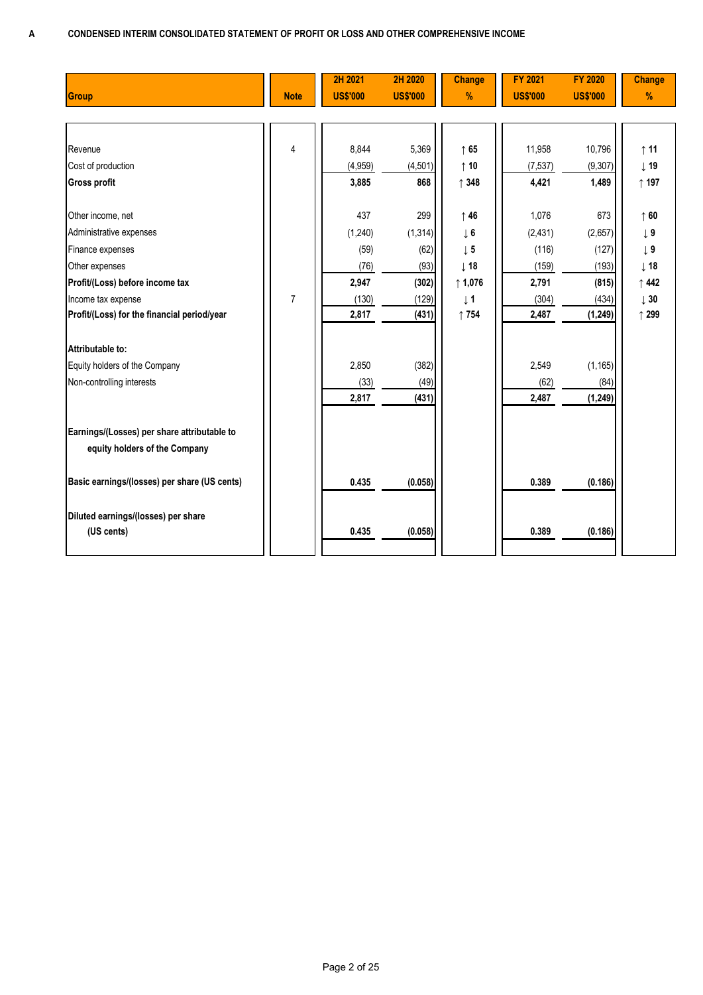|                                              |                | 2H 2021         | 2H 2020         | <b>Change</b>    | <b>FY 2021</b>  | <b>FY 2020</b>  | <b>Change</b>   |
|----------------------------------------------|----------------|-----------------|-----------------|------------------|-----------------|-----------------|-----------------|
| <b>Group</b>                                 | <b>Note</b>    | <b>US\$'000</b> | <b>US\$'000</b> | $\%$             | <b>US\$'000</b> | <b>US\$'000</b> | %               |
|                                              |                |                 |                 |                  |                 |                 |                 |
|                                              |                |                 |                 |                  |                 |                 |                 |
| Revenue                                      | $\overline{4}$ | 8,844           | 5,369           | $\uparrow$ 65    | 11,958          | 10,796          | $\uparrow$ 11   |
| Cost of production                           |                | (4,959)         | (4, 501)        | $\uparrow$ 10    | (7, 537)        | (9, 307)        | $\downarrow$ 19 |
| <b>Gross profit</b>                          |                | 3,885           | 868             | $\uparrow$ 348   | 4,421           | 1,489           | $\uparrow$ 197  |
|                                              |                |                 |                 |                  |                 |                 |                 |
| Other income, net                            |                | 437             | 299             | $\uparrow$ 46    | 1,076           | 673             | $\uparrow$ 60   |
| Administrative expenses                      |                | (1,240)         | (1, 314)        | $\downarrow$ 6   | (2, 431)        | (2,657)         | $\downarrow$ 9  |
| Finance expenses                             |                | (59)            | (62)            | $\downarrow$ 5   | (116)           | (127)           | $\downarrow$ 9  |
| Other expenses                               |                | (76)            | (93)            | $\downarrow$ 18  | (159)           | (193)           | $\downarrow$ 18 |
| Profit/(Loss) before income tax              |                | 2,947           | (302)           | $\uparrow$ 1,076 | 2,791           | (815)           | $\uparrow$ 442  |
| Income tax expense                           | $\overline{7}$ | (130)           | (129)           | $\downarrow$ 1   | (304)           | (434)           | $\downarrow$ 30 |
| Profit/(Loss) for the financial period/year  |                | 2,817           | (431)           | ↑754             | 2,487           | (1, 249)        | ↑ 299           |
|                                              |                |                 |                 |                  |                 |                 |                 |
| Attributable to:                             |                |                 |                 |                  |                 |                 |                 |
| Equity holders of the Company                |                | 2,850           | (382)           |                  | 2,549           | (1, 165)        |                 |
| Non-controlling interests                    |                | (33)            | (49)            |                  | (62)            | (84)            |                 |
|                                              |                | 2,817           | (431)           |                  | 2,487           | (1, 249)        |                 |
|                                              |                |                 |                 |                  |                 |                 |                 |
| Earnings/(Losses) per share attributable to  |                |                 |                 |                  |                 |                 |                 |
| equity holders of the Company                |                |                 |                 |                  |                 |                 |                 |
|                                              |                |                 |                 |                  |                 |                 |                 |
| Basic earnings/(losses) per share (US cents) |                | 0.435           | (0.058)         |                  | 0.389           | (0.186)         |                 |
|                                              |                |                 |                 |                  |                 |                 |                 |
| Diluted earnings/(losses) per share          |                |                 |                 |                  |                 |                 |                 |
| (US cents)                                   |                | 0.435           | (0.058)         |                  | 0.389           | (0.186)         |                 |
|                                              |                |                 |                 |                  |                 |                 |                 |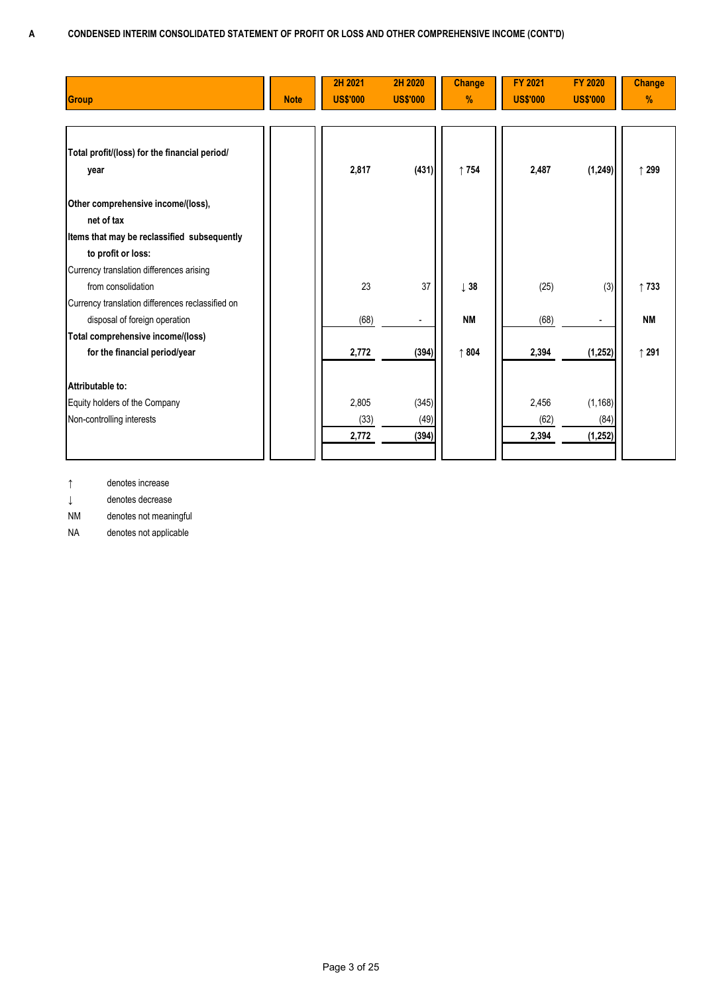| <b>Group</b>                                     | <b>Note</b> | 2H 2021<br><b>US\$'000</b> | 2H 2020<br><b>US\$'000</b> | <b>Change</b><br>% | <b>FY 2021</b><br><b>US\$'000</b> | <b>FY 2020</b><br><b>US\$'000</b> | <b>Change</b><br>% |
|--------------------------------------------------|-------------|----------------------------|----------------------------|--------------------|-----------------------------------|-----------------------------------|--------------------|
| Total profit/(loss) for the financial period/    |             |                            |                            |                    |                                   |                                   |                    |
| year                                             |             | 2,817                      | (431)                      | ↑754               | 2,487                             | (1, 249)                          | ↑ 299              |
| Other comprehensive income/(loss),               |             |                            |                            |                    |                                   |                                   |                    |
| net of tax                                       |             |                            |                            |                    |                                   |                                   |                    |
| Items that may be reclassified subsequently      |             |                            |                            |                    |                                   |                                   |                    |
| to profit or loss:                               |             |                            |                            |                    |                                   |                                   |                    |
| Currency translation differences arising         |             |                            |                            |                    |                                   |                                   |                    |
| from consolidation                               |             | 23                         | 37                         | $\downarrow$ 38    | (25)                              | (3)                               | ↑733               |
| Currency translation differences reclassified on |             |                            |                            |                    |                                   |                                   |                    |
| disposal of foreign operation                    |             | (68)                       |                            | <b>NM</b>          | (68)                              |                                   | <b>NM</b>          |
| Total comprehensive income/(loss)                |             |                            |                            |                    |                                   |                                   |                    |
| for the financial period/year                    |             | 2,772                      | (394)                      | ↑804               | 2,394                             | (1, 252)                          | ↑ 291              |
| Attributable to:                                 |             |                            |                            |                    |                                   |                                   |                    |
| Equity holders of the Company                    |             | 2,805                      | (345)                      |                    | 2,456                             | (1, 168)                          |                    |
| Non-controlling interests                        |             | (33)                       | (49)                       |                    | (62)                              | (84)                              |                    |
|                                                  |             | 2,772                      | (394)                      |                    | 2,394                             | (1, 252)                          |                    |
|                                                  |             |                            |                            |                    |                                   |                                   |                    |

↑ denotes increase

↓ denotes decrease

NM denotes not meaningful

NA denotes not applicable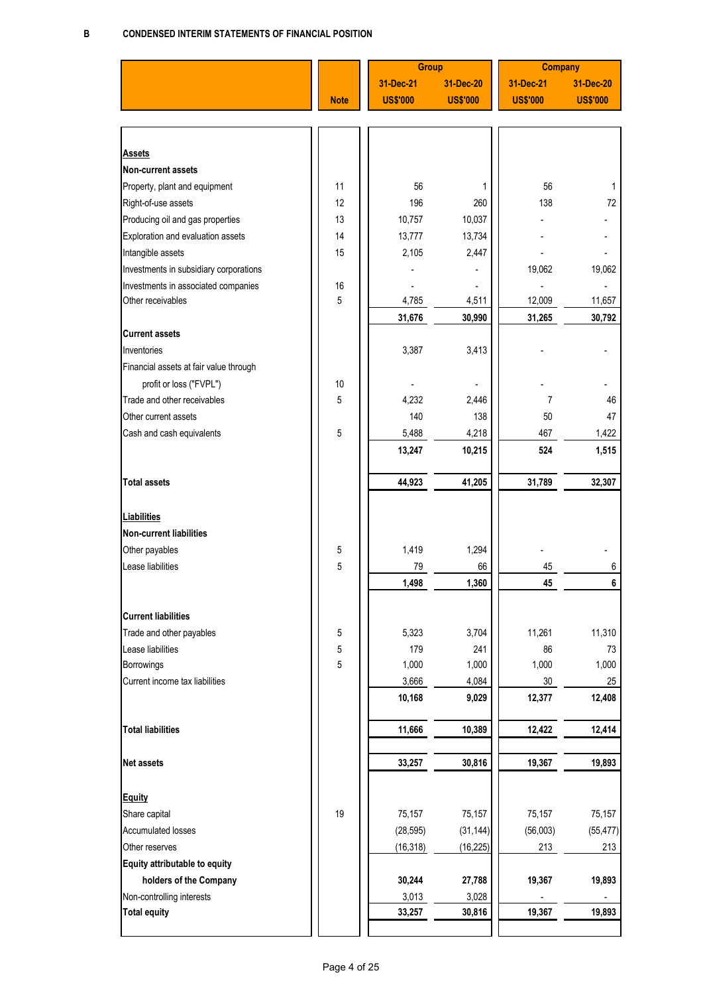|                                        |             | <b>Group</b>    |                 | <b>Company</b>  |                 |
|----------------------------------------|-------------|-----------------|-----------------|-----------------|-----------------|
|                                        |             | 31-Dec-21       | 31-Dec-20       | 31-Dec-21       | 31-Dec-20       |
|                                        | <b>Note</b> | <b>US\$'000</b> | <b>US\$'000</b> | <b>US\$'000</b> | <b>US\$'000</b> |
|                                        |             |                 |                 |                 |                 |
|                                        |             |                 |                 |                 |                 |
| <b>Assets</b>                          |             |                 |                 |                 |                 |
| Non-current assets                     |             |                 |                 |                 |                 |
| Property, plant and equipment          | 11          | 56              | 1               | 56              |                 |
| Right-of-use assets                    | 12          | 196             | 260             | 138             | 72              |
| Producing oil and gas properties       | 13          | 10,757          | 10,037          |                 |                 |
| Exploration and evaluation assets      | 14          | 13,777          | 13,734          |                 |                 |
| Intangible assets                      | 15          | 2,105           | 2,447           |                 |                 |
| Investments in subsidiary corporations |             |                 |                 | 19,062          | 19,062          |
| Investments in associated companies    | 16          |                 |                 |                 |                 |
| Other receivables                      | 5           | 4,785           | 4,511           | 12,009          | 11,657          |
|                                        |             | 31,676          | 30,990          | 31,265          | 30,792          |
| <b>Current assets</b>                  |             |                 |                 |                 |                 |
| Inventories                            |             | 3,387           | 3,413           |                 |                 |
| Financial assets at fair value through |             |                 |                 |                 |                 |
| profit or loss ("FVPL")                | 10          |                 |                 |                 |                 |
| Trade and other receivables            | 5           | 4,232           | 2,446           | 7               | 46              |
| Other current assets                   |             | 140             | 138             | 50              | 47              |
|                                        |             |                 |                 |                 |                 |
| Cash and cash equivalents              | 5           | 5,488           | 4,218           | 467             | 1,422           |
|                                        |             | 13,247          | 10,215          | 524             | 1,515           |
|                                        |             |                 |                 |                 |                 |
| <b>Total assets</b>                    |             | 44,923          | 41,205          | 31,789          | 32,307          |
|                                        |             |                 |                 |                 |                 |
| <b>Liabilities</b>                     |             |                 |                 |                 |                 |
| <b>Non-current liabilities</b>         |             |                 |                 |                 |                 |
| Other payables                         | 5           | 1,419           | 1,294           |                 |                 |
| Lease liabilities                      | 5           | 79              | 66              | 45              | 6               |
|                                        |             | 1,498           | 1,360           | 45              | 6               |
|                                        |             |                 |                 |                 |                 |
| <b>Current liabilities</b>             |             |                 |                 |                 |                 |
| Trade and other payables               | 5           | 5,323           | 3,704           | 11,261          | 11,310          |
| Lease liabilities                      | 5           | 179             | 241             | 86              | 73              |
| Borrowings                             | 5           | 1,000           | 1,000           | 1,000           | 1,000           |
| Current income tax liabilities         |             | 3,666           | 4,084           | 30              | 25              |
|                                        |             | 10,168          | 9,029           | 12,377          | 12,408          |
| <b>Total liabilities</b>               |             |                 |                 |                 |                 |
|                                        |             | 11,666          | 10,389          | 12,422          | 12,414          |
| <b>Net assets</b>                      |             | 33,257          | 30,816          | 19,367          | 19,893          |
|                                        |             |                 |                 |                 |                 |
| <b>Equity</b>                          |             |                 |                 |                 |                 |
| Share capital                          | 19          | 75,157          | 75,157          | 75,157          | 75,157          |
| <b>Accumulated losses</b>              |             | (28, 595)       | (31, 144)       | (56,003)        |                 |
|                                        |             |                 |                 |                 | (55, 477)       |
| Other reserves                         |             | (16, 318)       | (16, 225)       | 213             | 213             |
| Equity attributable to equity          |             |                 |                 |                 |                 |
| holders of the Company                 |             | 30,244          | 27,788          | 19,367          | 19,893          |
| Non-controlling interests              |             | 3,013           | 3,028           |                 |                 |
| <b>Total equity</b>                    |             | 33,257          | 30,816          | 19,367          | 19,893          |
|                                        |             |                 |                 |                 |                 |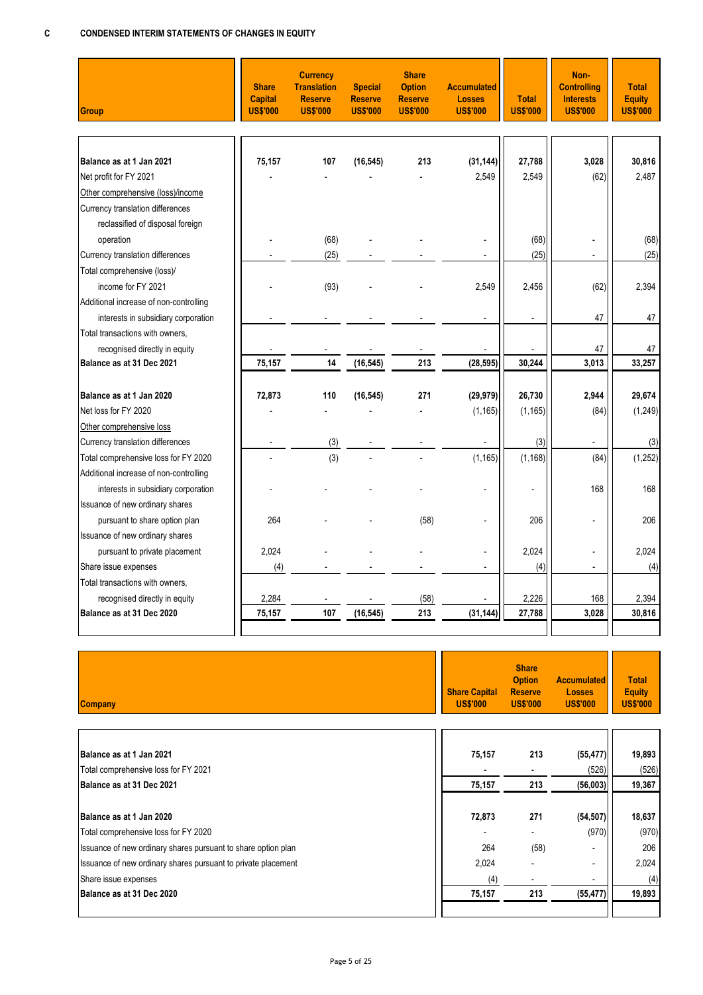| <b>Group</b>                           | <b>Share</b><br><b>Capital</b><br><b>US\$'000</b> | <b>Currency</b><br><b>Translation</b><br><b>Reserve</b><br><b>US\$'000</b> | <b>Special</b><br><b>Reserve</b><br><b>US\$'000</b> | <b>Share</b><br><b>Option</b><br><b>Reserve</b><br><b>US\$'000</b> | <b>Accumulated</b><br><b>Losses</b><br><b>US\$'000</b> | <b>Total</b><br><b>US\$'000</b> | Non-<br><b>Controlling</b><br><b>Interests</b><br><b>US\$'000</b> | <b>Total</b><br><b>Equity</b><br><b>US\$'000</b> |
|----------------------------------------|---------------------------------------------------|----------------------------------------------------------------------------|-----------------------------------------------------|--------------------------------------------------------------------|--------------------------------------------------------|---------------------------------|-------------------------------------------------------------------|--------------------------------------------------|
|                                        |                                                   |                                                                            |                                                     |                                                                    |                                                        |                                 |                                                                   |                                                  |
| Balance as at 1 Jan 2021               | 75,157                                            | 107                                                                        | (16, 545)                                           | 213                                                                | (31, 144)                                              | 27,788                          | 3.028                                                             | 30,816                                           |
| Net profit for FY 2021                 |                                                   |                                                                            |                                                     |                                                                    | 2,549                                                  | 2,549                           | (62)                                                              | 2,487                                            |
| Other comprehensive (loss)/income      |                                                   |                                                                            |                                                     |                                                                    |                                                        |                                 |                                                                   |                                                  |
| Currency translation differences       |                                                   |                                                                            |                                                     |                                                                    |                                                        |                                 |                                                                   |                                                  |
| reclassified of disposal foreign       |                                                   |                                                                            |                                                     |                                                                    |                                                        |                                 |                                                                   |                                                  |
| operation                              |                                                   | (68)                                                                       |                                                     |                                                                    |                                                        | (68)                            |                                                                   | (68)                                             |
| Currency translation differences       |                                                   | (25)                                                                       |                                                     |                                                                    |                                                        | (25)                            | $\blacksquare$                                                    | (25)                                             |
| Total comprehensive (loss)/            |                                                   |                                                                            |                                                     |                                                                    |                                                        |                                 |                                                                   |                                                  |
| income for FY 2021                     |                                                   | (93)                                                                       |                                                     |                                                                    | 2,549                                                  | 2,456                           | (62)                                                              | 2.394                                            |
| Additional increase of non-controlling |                                                   |                                                                            |                                                     |                                                                    |                                                        |                                 |                                                                   |                                                  |
| interests in subsidiary corporation    |                                                   |                                                                            |                                                     |                                                                    |                                                        | $\blacksquare$                  | 47                                                                | 47                                               |
| Total transactions with owners,        |                                                   |                                                                            |                                                     |                                                                    |                                                        |                                 |                                                                   |                                                  |
| recognised directly in equity          |                                                   |                                                                            |                                                     |                                                                    |                                                        |                                 | 47                                                                | 47                                               |
| Balance as at 31 Dec 2021              | 75,157                                            | 14                                                                         | (16, 545)                                           | 213                                                                | (28, 595)                                              | 30,244                          | 3,013                                                             | 33,257                                           |
| Balance as at 1 Jan 2020               | 72,873                                            | 110                                                                        | (16, 545)                                           | 271                                                                | (29, 979)                                              | 26,730                          | 2.944                                                             | 29,674                                           |
| Net loss for FY 2020                   |                                                   |                                                                            |                                                     |                                                                    | (1, 165)                                               | (1, 165)                        | (84)                                                              | (1, 249)                                         |
| Other comprehensive loss               |                                                   |                                                                            |                                                     |                                                                    |                                                        |                                 |                                                                   |                                                  |
| Currency translation differences       |                                                   | (3)                                                                        |                                                     |                                                                    | $\overline{a}$                                         | (3)                             | $\overline{a}$                                                    | (3)                                              |
| Total comprehensive loss for FY 2020   |                                                   | (3)                                                                        |                                                     |                                                                    | (1, 165)                                               | (1, 168)                        | (84)                                                              | (1, 252)                                         |
| Additional increase of non-controlling |                                                   |                                                                            |                                                     |                                                                    |                                                        |                                 |                                                                   |                                                  |
|                                        |                                                   |                                                                            |                                                     |                                                                    |                                                        | Ĭ.                              | 168                                                               | 168                                              |
| interests in subsidiary corporation    |                                                   |                                                                            |                                                     |                                                                    |                                                        |                                 |                                                                   |                                                  |
| Issuance of new ordinary shares        |                                                   |                                                                            |                                                     |                                                                    |                                                        |                                 |                                                                   |                                                  |
| pursuant to share option plan          | 264                                               |                                                                            |                                                     | (58)                                                               |                                                        | 206                             |                                                                   | 206                                              |
| Issuance of new ordinary shares        |                                                   |                                                                            |                                                     |                                                                    |                                                        |                                 |                                                                   |                                                  |
| pursuant to private placement          | 2.024                                             |                                                                            |                                                     |                                                                    |                                                        | 2.024                           |                                                                   | 2.024                                            |
| Share issue expenses                   | (4)                                               |                                                                            |                                                     |                                                                    |                                                        | (4)                             | $\overline{a}$                                                    | (4)                                              |
| Total transactions with owners,        |                                                   |                                                                            |                                                     |                                                                    |                                                        |                                 |                                                                   |                                                  |
| recognised directly in equity          | 2,284                                             |                                                                            |                                                     | (58)                                                               |                                                        | 2,226                           | 168                                                               | 2,394                                            |
| Balance as at 31 Dec 2020              | 75,157                                            | 107                                                                        | (16, 545)                                           | 213                                                                | (31, 144)                                              | 27,788                          | 3,028                                                             | 30,816                                           |
|                                        |                                                   |                                                                            |                                                     |                                                                    |                                                        |                                 |                                                                   |                                                  |

| <b>Company</b>                                                | <b>Share Capital</b><br><b>US\$'000</b> | <b>Share</b><br><b>Option</b><br><b>Reserve</b><br><b>US\$'000</b> | <b>Accumulated</b><br><b>Losses</b><br><b>US\$'000</b> | <b>Total</b><br><b>Equity</b><br><b>US\$'000</b> |
|---------------------------------------------------------------|-----------------------------------------|--------------------------------------------------------------------|--------------------------------------------------------|--------------------------------------------------|
|                                                               |                                         |                                                                    |                                                        |                                                  |
| Balance as at 1 Jan 2021                                      | 75,157                                  | 213                                                                | (55, 477)                                              | 19,893                                           |
| Total comprehensive loss for FY 2021                          | $\overline{\phantom{a}}$                | $\overline{\phantom{a}}$                                           | (526)                                                  | (526)                                            |
| Balance as at 31 Dec 2021                                     | 75,157                                  | 213                                                                | (56,003)                                               | 19,367                                           |
|                                                               |                                         |                                                                    |                                                        |                                                  |
| Balance as at 1 Jan 2020                                      | 72,873                                  | 271                                                                | (54, 507)                                              | 18,637                                           |
| Total comprehensive loss for FY 2020                          |                                         |                                                                    | (970)                                                  | (970)                                            |
| Issuance of new ordinary shares pursuant to share option plan | 264                                     | (58)                                                               | ٠                                                      | 206                                              |
| Issuance of new ordinary shares pursuant to private placement | 2,024                                   |                                                                    | $\overline{\phantom{0}}$                               | 2,024                                            |
| Share issue expenses                                          | (4)                                     |                                                                    | -                                                      | (4)                                              |
| Balance as at 31 Dec 2020                                     | 75,157                                  | 213                                                                | (55, 477)                                              | 19,893                                           |
|                                                               |                                         |                                                                    |                                                        |                                                  |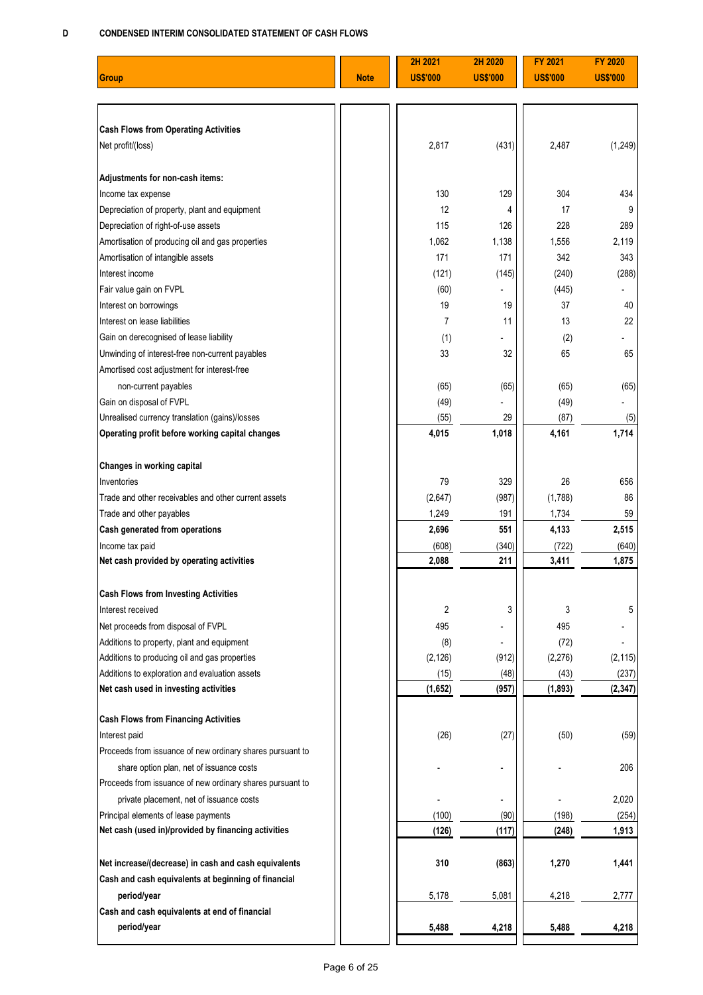#### **D CONDENSED INTERIM CONSOLIDATED STATEMENT OF CASH FLOWS**

|                                                                     |             | 2H 2021         | 2H 2020         | <b>FY 2021</b>  | <b>FY 2020</b>  |
|---------------------------------------------------------------------|-------------|-----------------|-----------------|-----------------|-----------------|
| Group                                                               | <b>Note</b> | <b>US\$'000</b> | <b>US\$'000</b> | <b>US\$'000</b> | <b>US\$'000</b> |
|                                                                     |             |                 |                 |                 |                 |
|                                                                     |             |                 |                 |                 |                 |
| <b>Cash Flows from Operating Activities</b>                         |             |                 |                 |                 |                 |
| Net profit/(loss)                                                   |             | 2,817           | (431)           | 2,487           | (1, 249)        |
|                                                                     |             |                 |                 |                 |                 |
| Adjustments for non-cash items:                                     |             |                 |                 |                 |                 |
| Income tax expense                                                  |             | 130             | 129             | 304             | 434             |
| Depreciation of property, plant and equipment                       |             | 12              | 4               | 17              | 9               |
| Depreciation of right-of-use assets                                 |             | 115             | 126             | 228             | 289             |
| Amortisation of producing oil and gas properties                    |             | 1,062           | 1,138           | 1,556           | 2,119           |
| Amortisation of intangible assets                                   |             | 171             | 171             | 342             | 343             |
| Interest income                                                     |             | (121)           | (145)           | (240)           | (288)           |
| Fair value gain on FVPL                                             |             | (60)            |                 | (445)           |                 |
| Interest on borrowings                                              |             | 19              | 19              | 37              | 40              |
| Interest on lease liabilities                                       |             | $\overline{7}$  | 11              | 13              | 22              |
| Gain on derecognised of lease liability                             |             | (1)             |                 | (2)             |                 |
| Unwinding of interest-free non-current payables                     |             | 33              | 32              | 65              | 65              |
| Amortised cost adjustment for interest-free                         |             |                 |                 |                 |                 |
| non-current payables                                                |             | (65)            | (65)            | (65)            | (65)            |
| Gain on disposal of FVPL                                            |             | (49)            |                 | (49)            |                 |
| Unrealised currency translation (gains)/losses                      |             | (55)            | 29              | (87)            | (5)             |
| Operating profit before working capital changes                     |             | 4,015           | 1,018           | 4,161           | 1,714           |
|                                                                     |             |                 |                 |                 |                 |
| Changes in working capital                                          |             |                 |                 |                 |                 |
| Inventories<br>Trade and other receivables and other current assets |             | 79              | 329             | 26              | 656             |
|                                                                     |             | (2,647)         | (987)           | (1,788)         | 86              |
| Trade and other payables<br>Cash generated from operations          |             | 1,249<br>2,696  | 191<br>551      | 1,734<br>4,133  | 59<br>2,515     |
| Income tax paid                                                     |             | (608)           | (340)           | (722)           | (640)           |
| Net cash provided by operating activities                           |             | 2,088           | 211             | 3,411           | 1,875           |
|                                                                     |             |                 |                 |                 |                 |
| <b>Cash Flows from Investing Activities</b>                         |             |                 |                 |                 |                 |
| Interest received                                                   |             | 2               | 3               | 3               | 5               |
| Net proceeds from disposal of FVPL                                  |             | 495             |                 | 495             |                 |
| Additions to property, plant and equipment                          |             | (8)             |                 | (72)            |                 |
| Additions to producing oil and gas properties                       |             | (2, 126)        | (912)           | (2, 276)        | (2, 115)        |
| Additions to exploration and evaluation assets                      |             | (15)            | (48)            | (43)            | (237)           |
| Net cash used in investing activities                               |             | (1,652)         | (957)           | (1, 893)        | (2, 347)        |
|                                                                     |             |                 |                 |                 |                 |
| <b>Cash Flows from Financing Activities</b>                         |             |                 |                 |                 |                 |
| Interest paid                                                       |             | (26)            | (27)            | (50)            | (59)            |
| Proceeds from issuance of new ordinary shares pursuant to           |             |                 |                 |                 |                 |
| share option plan, net of issuance costs                            |             |                 |                 |                 | 206             |
| Proceeds from issuance of new ordinary shares pursuant to           |             |                 |                 |                 |                 |
| private placement, net of issuance costs                            |             |                 |                 |                 | 2,020           |
| Principal elements of lease payments                                |             | (100)           | (90)            | (198)           | (254)           |
| Net cash (used in)/provided by financing activities                 |             | (126)           | (117)           | (248)           | 1,913           |
| Net increase/(decrease) in cash and cash equivalents                |             | 310             | (863)           | 1,270           | 1,441           |
| Cash and cash equivalents at beginning of financial                 |             |                 |                 |                 |                 |
| period/year                                                         |             | 5,178           | 5,081           | 4,218           | 2,777           |
| Cash and cash equivalents at end of financial                       |             |                 |                 |                 |                 |
| period/year                                                         |             | 5,488           | 4,218           | 5,488           | 4,218           |
|                                                                     |             |                 |                 |                 |                 |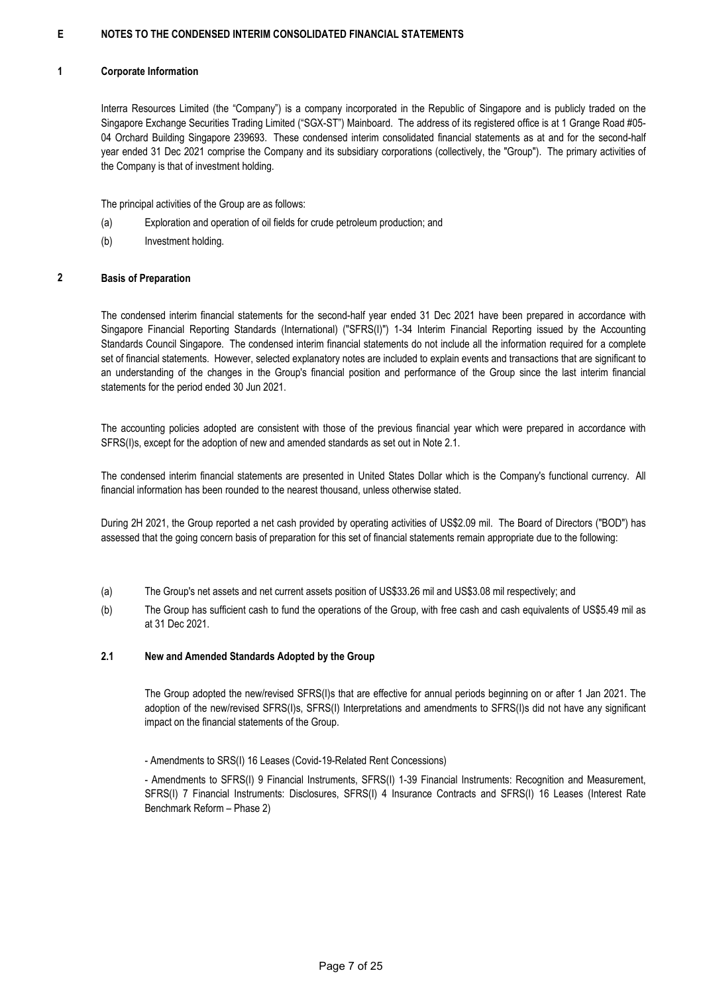#### **1 Corporate Information**

Interra Resources Limited (the "Company") is a company incorporated in the Republic of Singapore and is publicly traded on the Singapore Exchange Securities Trading Limited ("SGX-ST") Mainboard. The address of its registered office is at 1 Grange Road #05- 04 Orchard Building Singapore 239693. These condensed interim consolidated financial statements as at and for the second-half year ended 31 Dec 2021 comprise the Company and its subsidiary corporations (collectively, the "Group"). The primary activities of the Company is that of investment holding.

The principal activities of the Group are as follows:

- (a) Exploration and operation of oil fields for crude petroleum production; and
- (b) Investment holding.

#### **2 Basis of Preparation**

The condensed interim financial statements for the second-half year ended 31 Dec 2021 have been prepared in accordance with Singapore Financial Reporting Standards (International) ("SFRS(I)") 1-34 Interim Financial Reporting issued by the Accounting Standards Council Singapore. The condensed interim financial statements do not include all the information required for a complete set of financial statements. However, selected explanatory notes are included to explain events and transactions that are significant to an understanding of the changes in the Group's financial position and performance of the Group since the last interim financial statements for the period ended 30 Jun 2021.

The accounting policies adopted are consistent with those of the previous financial year which were prepared in accordance with SFRS(I)s, except for the adoption of new and amended standards as set out in Note 2.1.

The condensed interim financial statements are presented in United States Dollar which is the Company's functional currency. All financial information has been rounded to the nearest thousand, unless otherwise stated.

During 2H 2021, the Group reported a net cash provided by operating activities of US\$2.09 mil. The Board of Directors ("BOD") has assessed that the going concern basis of preparation for this set of financial statements remain appropriate due to the following:

- (a) The Group's net assets and net current assets position of US\$33.26 mil and US\$3.08 mil respectively; and
- (b) The Group has sufficient cash to fund the operations of the Group, with free cash and cash equivalents of US\$5.49 mil as at 31 Dec 2021.

#### **2.1 New and Amended Standards Adopted by the Group**

The Group adopted the new/revised SFRS(I)s that are effective for annual periods beginning on or after 1 Jan 2021. The adoption of the new/revised SFRS(I)s, SFRS(I) Interpretations and amendments to SFRS(I)s did not have any significant impact on the financial statements of the Group.

- Amendments to SRS(I) 16 Leases (Covid-19-Related Rent Concessions)

- Amendments to SFRS(I) 9 Financial Instruments, SFRS(I) 1-39 Financial Instruments: Recognition and Measurement, SFRS(I) 7 Financial Instruments: Disclosures, SFRS(I) 4 Insurance Contracts and SFRS(I) 16 Leases (Interest Rate Benchmark Reform – Phase 2)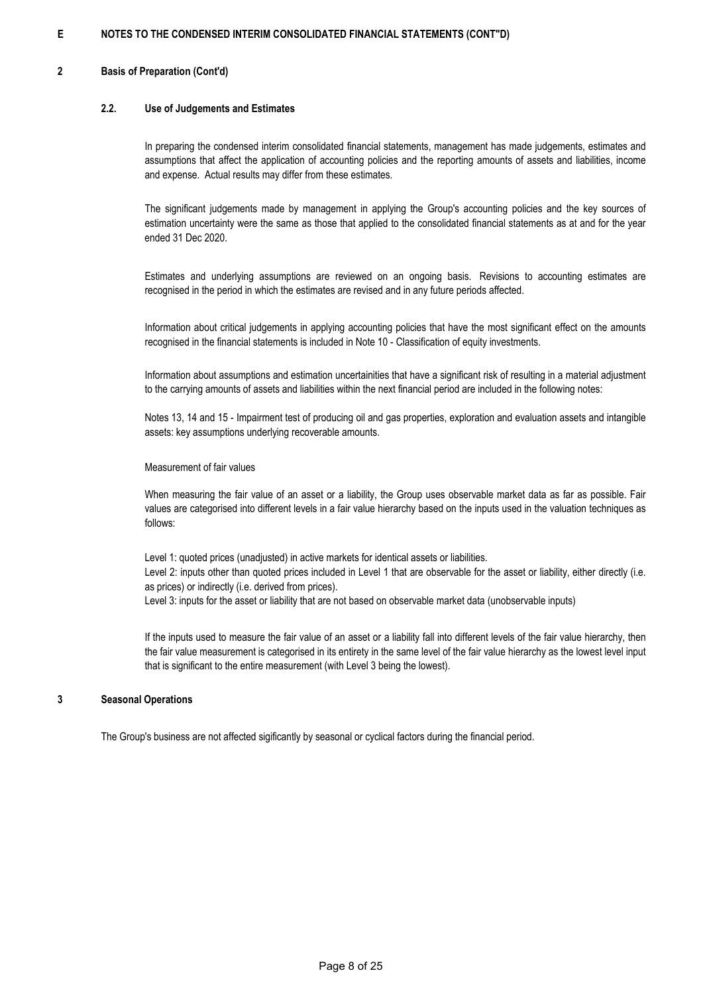#### **2 Basis of Preparation (Cont'd)**

#### **2.2. Use of Judgements and Estimates**

In preparing the condensed interim consolidated financial statements, management has made judgements, estimates and assumptions that affect the application of accounting policies and the reporting amounts of assets and liabilities, income and expense. Actual results may differ from these estimates.

The significant judgements made by management in applying the Group's accounting policies and the key sources of estimation uncertainty were the same as those that applied to the consolidated financial statements as at and for the year ended 31 Dec 2020.

Estimates and underlying assumptions are reviewed on an ongoing basis. Revisions to accounting estimates are recognised in the period in which the estimates are revised and in any future periods affected.

Information about critical judgements in applying accounting policies that have the most significant effect on the amounts recognised in the financial statements is included in Note 10 - Classification of equity investments.

Information about assumptions and estimation uncertainities that have a significant risk of resulting in a material adjustment to the carrying amounts of assets and liabilities within the next financial period are included in the following notes:

Notes 13, 14 and 15 - Impairment test of producing oil and gas properties, exploration and evaluation assets and intangible assets: key assumptions underlying recoverable amounts.

### Measurement of fair values

When measuring the fair value of an asset or a liability, the Group uses observable market data as far as possible. Fair values are categorised into different levels in a fair value hierarchy based on the inputs used in the valuation techniques as follows:

Level 1: quoted prices (unadjusted) in active markets for identical assets or liabilities. Level 2: inputs other than quoted prices included in Level 1 that are observable for the asset or liability, either directly (i.e. as prices) or indirectly (i.e. derived from prices). Level 3: inputs for the asset or liability that are not based on observable market data (unobservable inputs)

If the inputs used to measure the fair value of an asset or a liability fall into different levels of the fair value hierarchy, then the fair value measurement is categorised in its entirety in the same level of the fair value hierarchy as the lowest level input that is significant to the entire measurement (with Level 3 being the lowest).

### **3 Seasonal Operations**

The Group's business are not affected sigificantly by seasonal or cyclical factors during the financial period.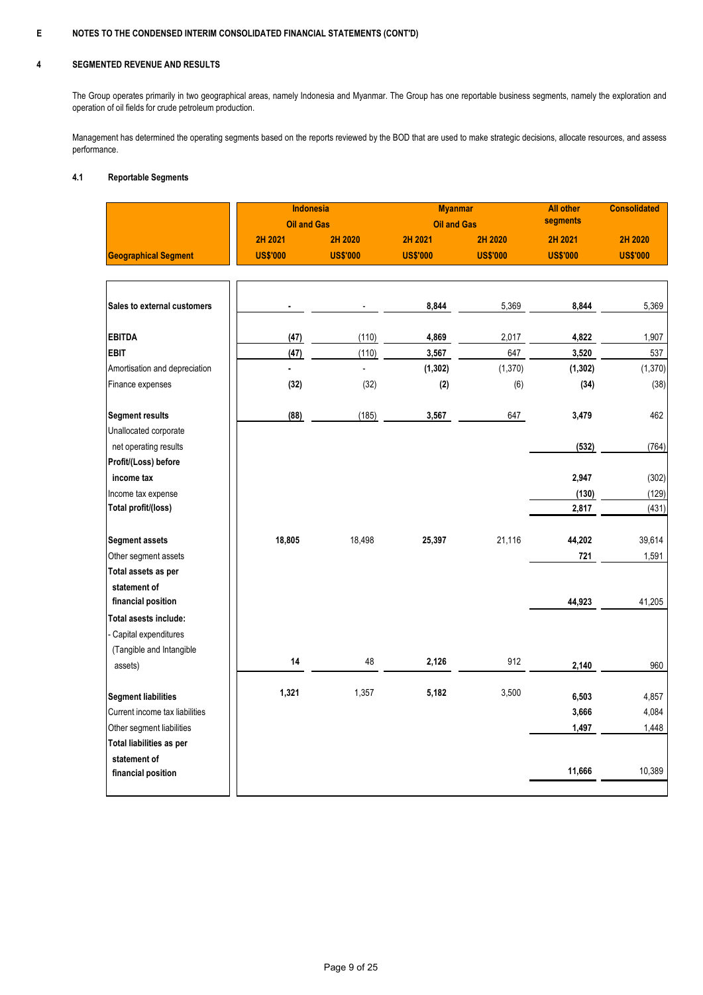#### **4 SEGMENTED REVENUE AND RESULTS**

The Group operates primarily in two geographical areas, namely Indonesia and Myanmar. The Group has one reportable business segments, namely the exploration and operation of oil fields for crude petroleum production.

Management has determined the operating segments based on the reports reviewed by the BOD that are used to make strategic decisions, allocate resources, and assess performance.

#### **4.1 Reportable Segments**

|                                | <b>Indonesia</b>   |                 | <b>Myanmar</b>     |                 | <b>All other</b> | <b>Consolidated</b> |
|--------------------------------|--------------------|-----------------|--------------------|-----------------|------------------|---------------------|
|                                | <b>Oil and Gas</b> |                 | <b>Oil and Gas</b> |                 | segments         |                     |
|                                | 2H 2021            | 2H 2020         | 2H 2021            | 2H 2020         | 2H 2021          | 2H 2020             |
| <b>Geographical Segment</b>    | <b>US\$'000</b>    | <b>US\$'000</b> | <b>US\$'000</b>    | <b>US\$'000</b> | <b>US\$'000</b>  | <b>US\$'000</b>     |
|                                |                    |                 |                    |                 |                  |                     |
| Sales to external customers    |                    |                 | 8,844              | 5,369           | 8,844            | 5,369               |
| <b>EBITDA</b>                  | (47)               | (110)           | 4,869              | 2,017           | 4,822            | 1,907               |
| <b>EBIT</b>                    | (47)               | (110)           | 3,567              | 647             | 3,520            | 537                 |
| Amortisation and depreciation  |                    |                 | (1, 302)           | (1, 370)        | (1, 302)         | (1, 370)            |
| Finance expenses               | (32)               | (32)            | (2)                | (6)             | (34)             | (38)                |
| <b>Segment results</b>         | (88)               | (185)           | 3,567              | 647             | 3,479            | 462                 |
| Unallocated corporate          |                    |                 |                    |                 |                  |                     |
| net operating results          |                    |                 |                    |                 | (532)            | (764)               |
| Profit/(Loss) before           |                    |                 |                    |                 |                  |                     |
| income tax                     |                    |                 |                    |                 | 2,947            | (302)               |
| Income tax expense             |                    |                 |                    |                 | (130)            | (129)               |
| Total profit/(loss)            |                    |                 |                    |                 | 2,817            | (431)               |
| <b>Segment assets</b>          | 18,805             | 18,498          | 25,397             | 21,116          | 44,202           | 39,614              |
| Other segment assets           |                    |                 |                    |                 | 721              | 1,591               |
| Total assets as per            |                    |                 |                    |                 |                  |                     |
| statement of                   |                    |                 |                    |                 |                  |                     |
| financial position             |                    |                 |                    |                 | 44,923           | 41,205              |
| Total asests include:          |                    |                 |                    |                 |                  |                     |
| Capital expenditures           |                    |                 |                    |                 |                  |                     |
| (Tangible and Intangible       | 14                 | 48              | 2,126              | 912             |                  |                     |
| assets)                        |                    |                 |                    |                 | 2,140            | 960                 |
| <b>Segment liabilities</b>     | 1,321              | 1,357           | 5,182              | 3,500           | 6,503            | 4,857               |
| Current income tax liabilities |                    |                 |                    |                 | 3,666            | 4,084               |
| Other segment liabilities      |                    |                 |                    |                 | 1,497            | 1,448               |
| Total liabilities as per       |                    |                 |                    |                 |                  |                     |
| statement of                   |                    |                 |                    |                 |                  |                     |
| financial position             |                    |                 |                    |                 | 11,666           | 10,389              |
|                                |                    |                 |                    |                 |                  |                     |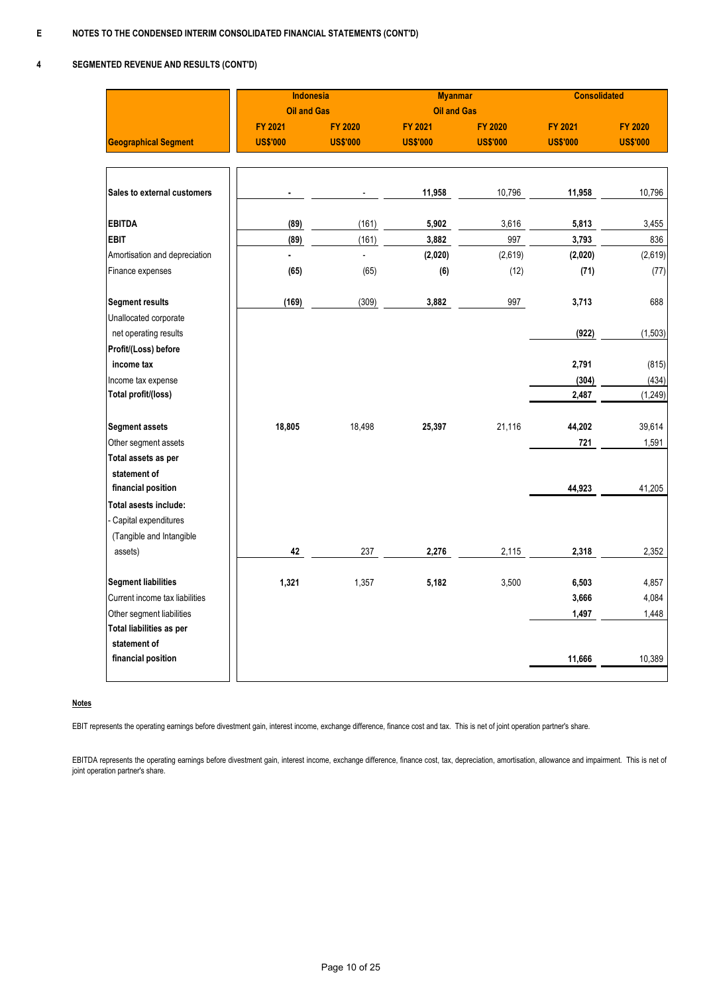#### **4 SEGMENTED REVENUE AND RESULTS (CONT'D)**

|                                | <b>Indonesia</b>   |                 | <b>Myanmar</b>     |                 | <b>Consolidated</b> |                 |
|--------------------------------|--------------------|-----------------|--------------------|-----------------|---------------------|-----------------|
|                                | <b>Oil and Gas</b> |                 | <b>Oil and Gas</b> |                 |                     |                 |
|                                | <b>FY 2021</b>     | <b>FY 2020</b>  | <b>FY 2021</b>     | <b>FY 2020</b>  | <b>FY 2021</b>      | <b>FY 2020</b>  |
| <b>Geographical Segment</b>    | <b>US\$'000</b>    | <b>US\$'000</b> | <b>US\$'000</b>    | <b>US\$'000</b> | <b>US\$'000</b>     | <b>US\$'000</b> |
|                                |                    |                 |                    |                 |                     |                 |
|                                |                    |                 |                    |                 |                     |                 |
| Sales to external customers    |                    |                 | 11,958             | 10,796          | 11,958              | 10,796          |
|                                |                    |                 |                    |                 |                     |                 |
| <b>EBITDA</b>                  | (89)               | (161)           | 5,902              | 3,616           | 5,813               | 3,455           |
| <b>EBIT</b>                    | (89)               | (161)           | 3,882              | 997             | 3,793               | 836             |
| Amortisation and depreciation  |                    |                 | (2,020)            | (2,619)         | (2,020)             | (2,619)         |
| Finance expenses               | (65)               | (65)            | (6)                | (12)            | (71)                | (77)            |
| <b>Segment results</b>         | (169)              | (309)           | 3,882              | 997             | 3,713               | 688             |
| Unallocated corporate          |                    |                 |                    |                 |                     |                 |
| net operating results          |                    |                 |                    |                 | (922)               | (1, 503)        |
| Profit/(Loss) before           |                    |                 |                    |                 |                     |                 |
| income tax                     |                    |                 |                    |                 | 2,791               | (815)           |
| Income tax expense             |                    |                 |                    |                 | (304)               | (434)           |
| Total profit/(loss)            |                    |                 |                    |                 | 2,487               | (1, 249)        |
|                                |                    |                 |                    |                 |                     |                 |
| <b>Segment assets</b>          | 18,805             | 18,498          | 25,397             | 21,116          | 44,202              | 39,614          |
| Other segment assets           |                    |                 |                    |                 | 721                 | 1,591           |
| Total assets as per            |                    |                 |                    |                 |                     |                 |
| statement of                   |                    |                 |                    |                 |                     |                 |
| financial position             |                    |                 |                    |                 | 44,923              | 41,205          |
| Total asests include:          |                    |                 |                    |                 |                     |                 |
| Capital expenditures           |                    |                 |                    |                 |                     |                 |
| (Tangible and Intangible       |                    |                 |                    |                 |                     |                 |
| assets)                        | 42                 | 237             | 2,276              | 2,115           | 2,318               | 2,352           |
| <b>Segment liabilities</b>     | 1,321              | 1,357           | 5,182              | 3,500           | 6,503               | 4,857           |
| Current income tax liabilities |                    |                 |                    |                 | 3,666               | 4,084           |
| Other segment liabilities      |                    |                 |                    |                 | 1,497               | 1,448           |
| Total liabilities as per       |                    |                 |                    |                 |                     |                 |
| statement of                   |                    |                 |                    |                 |                     |                 |
| financial position             |                    |                 |                    |                 | 11,666              | 10,389          |
|                                |                    |                 |                    |                 |                     |                 |

### **Notes**

EBIT represents the operating earnings before divestment gain, interest income, exchange difference, finance cost and tax. This is net of joint operation partner's share.

EBITDA represents the operating earnings before divestment gain, interest income, exchange difference, finance cost, tax, depreciation, amortisation, allowance and impairment. This is net of joint operation partner's share.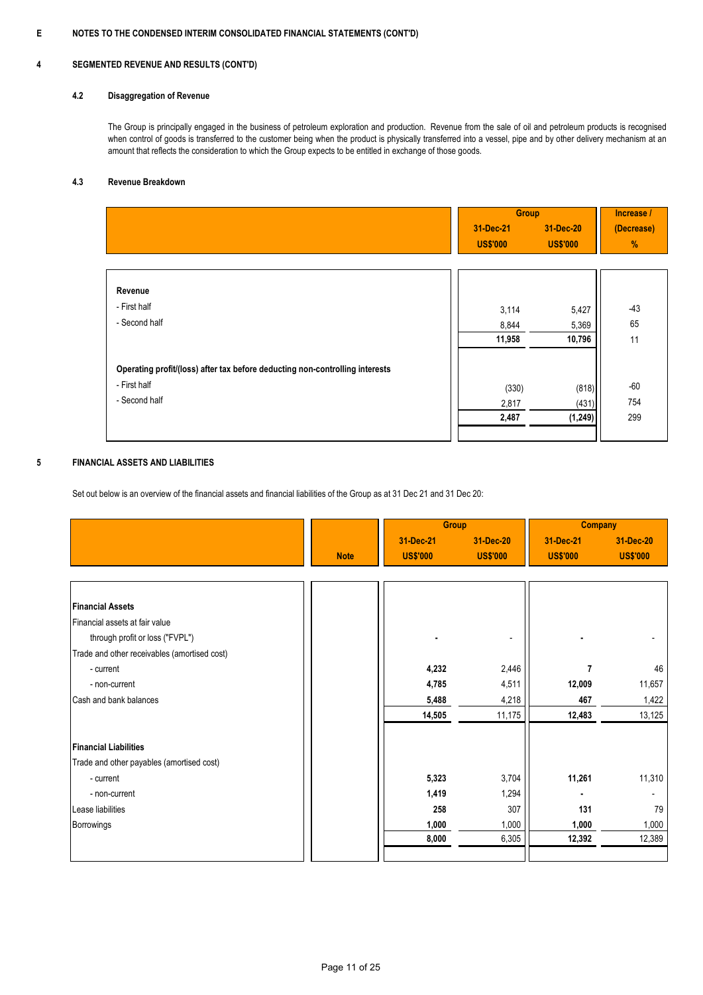#### **4 SEGMENTED REVENUE AND RESULTS (CONT'D)**

#### **4.2 Disaggregation of Revenue**

The Group is principally engaged in the business of petroleum exploration and production. Revenue from the sale of oil and petroleum products is recognised when control of goods is transferred to the customer being when the product is physically transferred into a vessel, pipe and by other delivery mechanism at an amount that reflects the consideration to which the Group expects to be entitled in exchange of those goods.

#### **4.3 Revenue Breakdown**

|                                                                              | <b>Group</b>    |                 | Increase / |
|------------------------------------------------------------------------------|-----------------|-----------------|------------|
|                                                                              | 31-Dec-21       | 31-Dec-20       | (Decrease) |
|                                                                              | <b>US\$'000</b> | <b>US\$'000</b> | %          |
|                                                                              |                 |                 |            |
|                                                                              |                 |                 |            |
| Revenue                                                                      |                 |                 |            |
| - First half                                                                 | 3,114           | 5,427           | $-43$      |
| - Second half                                                                | 8,844           | 5,369           | 65         |
|                                                                              | 11,958          | 10,796          | 11         |
| Operating profit/(loss) after tax before deducting non-controlling interests |                 |                 |            |
| - First half                                                                 | (330)           | (818)           | $-60$      |
| - Second half                                                                | 2,817           | (431)           | 754        |
|                                                                              | 2,487           | (1, 249)        | 299        |
|                                                                              |                 |                 |            |

#### **5 FINANCIAL ASSETS AND LIABILITIES**

Set out below is an overview of the financial assets and financial liabilities of the Group as at 31 Dec 21 and 31 Dec 20:

|                                              |             | <b>Group</b>                 |                              | <b>Company</b>               |                              |
|----------------------------------------------|-------------|------------------------------|------------------------------|------------------------------|------------------------------|
|                                              | <b>Note</b> | 31-Dec-21<br><b>US\$'000</b> | 31-Dec-20<br><b>US\$'000</b> | 31-Dec-21<br><b>US\$'000</b> | 31-Dec-20<br><b>US\$'000</b> |
|                                              |             |                              |                              |                              |                              |
| <b>Financial Assets</b>                      |             |                              |                              |                              |                              |
| Financial assets at fair value               |             |                              |                              |                              |                              |
| through profit or loss ("FVPL")              |             |                              |                              |                              |                              |
| Trade and other receivables (amortised cost) |             |                              |                              |                              |                              |
| - current                                    |             | 4,232                        | 2,446                        |                              | 46                           |
| - non-current                                |             | 4,785                        | 4,511                        | 12,009                       | 11,657                       |
| Cash and bank balances                       |             | 5,488                        | 4,218                        | 467                          | 1,422                        |
|                                              |             | 14,505                       | 11,175                       | 12,483                       | 13,125                       |
| <b>Financial Liabilities</b>                 |             |                              |                              |                              |                              |
| Trade and other payables (amortised cost)    |             |                              |                              |                              |                              |
| - current                                    |             | 5,323                        | 3,704                        | 11,261                       | 11,310                       |
| - non-current                                |             | 1,419                        | 1,294                        |                              |                              |
| Lease liabilities                            |             | 258                          | 307                          | 131                          | 79                           |
| <b>Borrowings</b>                            |             | 1,000                        | 1,000                        | 1,000                        | 1,000                        |
|                                              |             | 8,000                        | 6,305                        | 12,392                       | 12,389                       |
|                                              |             |                              |                              |                              |                              |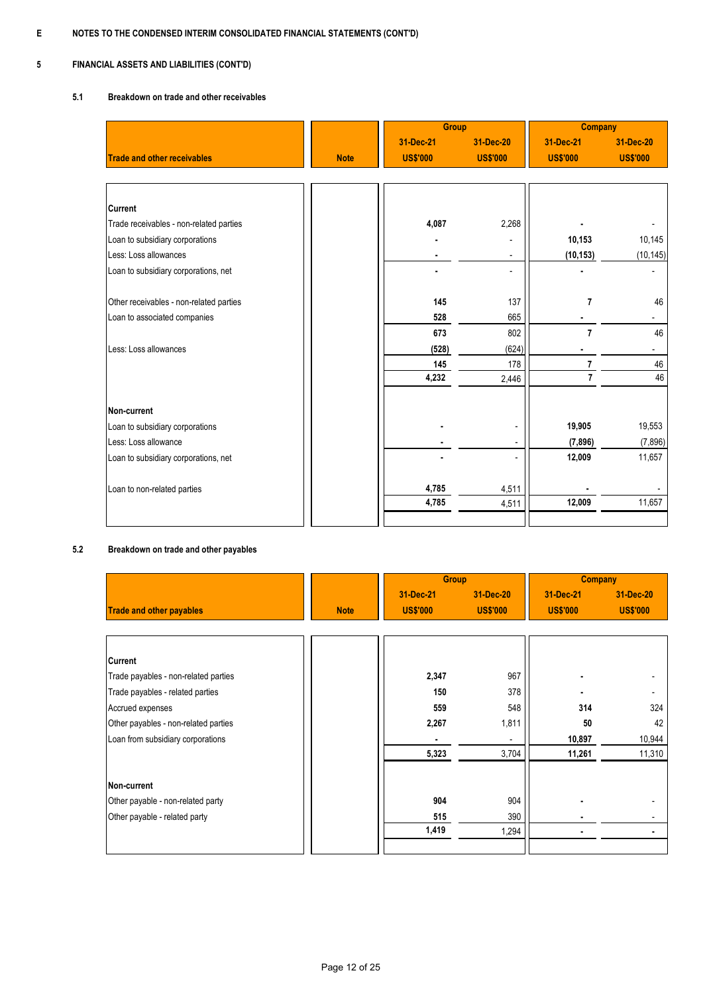#### **5 FINANCIAL ASSETS AND LIABILITIES (CONT'D)**

#### **5.1 Breakdown on trade and other receivables**

|                                         |             | <b>Group</b>    |                          | <b>Company</b>  |                          |
|-----------------------------------------|-------------|-----------------|--------------------------|-----------------|--------------------------|
|                                         |             | 31-Dec-21       | 31-Dec-20                | 31-Dec-21       | 31-Dec-20                |
| <b>Trade and other receivables</b>      | <b>Note</b> | <b>US\$'000</b> | <b>US\$'000</b>          | <b>US\$'000</b> | <b>US\$'000</b>          |
|                                         |             |                 |                          |                 |                          |
|                                         |             |                 |                          |                 |                          |
| <b>Current</b>                          |             |                 |                          |                 |                          |
| Trade receivables - non-related parties |             | 4,087           | 2,268                    |                 |                          |
| Loan to subsidiary corporations         |             |                 |                          | 10,153          | 10,145                   |
| Less: Loss allowances                   |             |                 | $\overline{\phantom{0}}$ | (10, 153)       | (10, 145)                |
| Loan to subsidiary corporations, net    |             |                 | $\overline{\phantom{0}}$ |                 |                          |
|                                         |             |                 |                          |                 |                          |
| Other receivables - non-related parties |             | 145             | 137                      | 7               | 46                       |
| Loan to associated companies            |             | 528             | 665                      |                 |                          |
|                                         |             | 673             | 802                      | $\overline{7}$  | 46                       |
| Less: Loss allowances                   |             | (528)           | (624)                    |                 | $\overline{\phantom{a}}$ |
|                                         |             | 145             | 178                      | 7               | 46                       |
|                                         |             | 4,232           | 2,446                    | $\overline{7}$  | 46                       |
|                                         |             |                 |                          |                 |                          |
| Non-current                             |             |                 |                          |                 |                          |
| Loan to subsidiary corporations         |             |                 | $\overline{\phantom{a}}$ | 19,905          | 19,553                   |
| Less: Loss allowance                    |             |                 | $\overline{a}$           | (7, 896)        | (7,896)                  |
| Loan to subsidiary corporations, net    |             |                 |                          | 12,009          | 11,657                   |
|                                         |             |                 |                          |                 |                          |
| Loan to non-related parties             |             | 4,785           | 4,511                    |                 |                          |
|                                         |             | 4,785           | 4,511                    | 12,009          | 11,657                   |
|                                         |             |                 |                          |                 |                          |

#### **5.2 Breakdown on trade and other payables**

|                                      |             | <b>Group</b>    |                 | <b>Company</b>  |                 |
|--------------------------------------|-------------|-----------------|-----------------|-----------------|-----------------|
|                                      |             | 31-Dec-21       | 31-Dec-20       | 31-Dec-21       | 31-Dec-20       |
| <b>Trade and other payables</b>      | <b>Note</b> | <b>US\$'000</b> | <b>US\$'000</b> | <b>US\$'000</b> | <b>US\$'000</b> |
|                                      |             |                 |                 |                 |                 |
| <b>Current</b>                       |             |                 |                 |                 |                 |
| Trade payables - non-related parties |             | 2,347           | 967             |                 |                 |
| Trade payables - related parties     |             | 150             | 378             |                 |                 |
| Accrued expenses                     |             | 559             | 548             | 314             | 324             |
| Other payables - non-related parties |             | 2,267           | 1,811           | 50              | 42              |
| Loan from subsidiary corporations    |             |                 |                 | 10,897          | 10,944          |
|                                      |             | 5,323           | 3,704           | 11,261          | 11,310          |
| Non-current                          |             |                 |                 |                 |                 |
| Other payable - non-related party    |             | 904             | 904             |                 |                 |
| Other payable - related party        |             | 515             | 390             |                 |                 |
|                                      |             | 1,419           | 1,294           |                 |                 |
|                                      |             |                 |                 |                 |                 |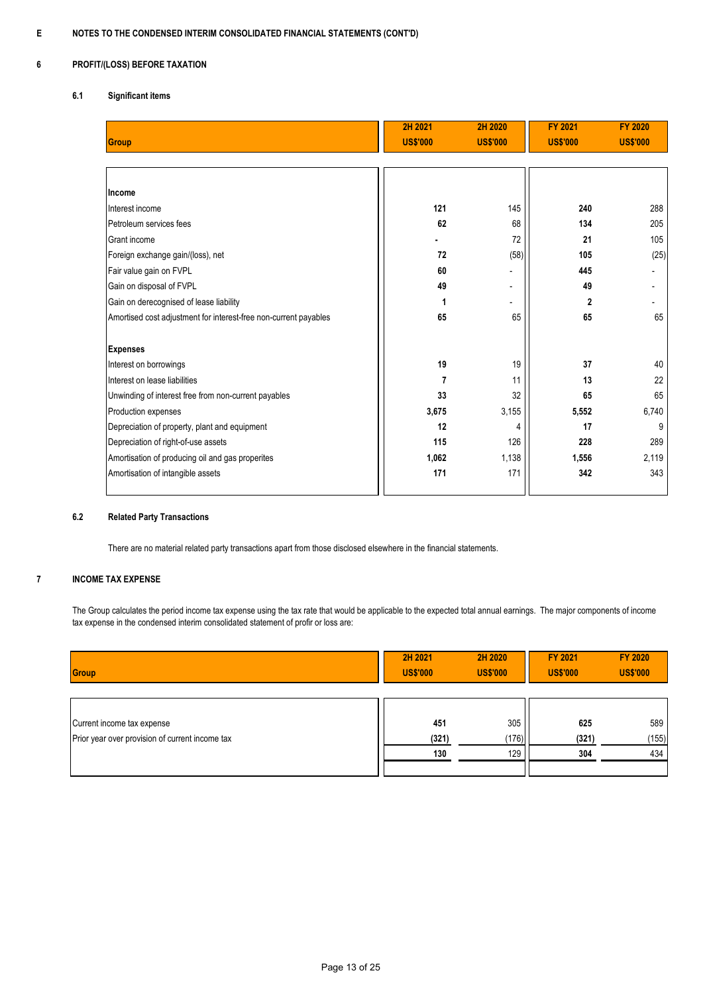#### **6 PROFIT/(LOSS) BEFORE TAXATION**

### **6.1 Significant items**

|                                                                  | 2H 2021         | 2H 2020                  | <b>FY 2021</b>  | <b>FY 2020</b>           |
|------------------------------------------------------------------|-----------------|--------------------------|-----------------|--------------------------|
| <b>Group</b>                                                     | <b>US\$'000</b> | <b>US\$'000</b>          | <b>US\$'000</b> | <b>US\$'000</b>          |
|                                                                  |                 |                          |                 |                          |
|                                                                  |                 |                          |                 |                          |
| Income                                                           |                 |                          |                 |                          |
| Interest income                                                  | 121             | 145                      | 240             | 288                      |
| Petroleum services fees                                          | 62              | 68                       | 134             | 205                      |
| Grant income                                                     |                 | 72                       | 21              | 105                      |
| Foreign exchange gain/(loss), net                                | 72              | (58)                     | 105             | (25)                     |
| Fair value gain on FVPL                                          | 60              |                          | 445             | $\overline{\phantom{a}}$ |
| Gain on disposal of FVPL                                         | 49              | $\overline{\phantom{a}}$ | 49              | $\overline{\phantom{a}}$ |
| Gain on derecognised of lease liability                          |                 | $\overline{\phantom{0}}$ | 2               |                          |
| Amortised cost adjustment for interest-free non-current payables | 65              | 65                       | 65              | 65                       |
|                                                                  |                 |                          |                 |                          |
| <b>Expenses</b>                                                  |                 |                          |                 |                          |
| Interest on borrowings                                           | 19              | 19                       | 37              | 40                       |
| Interest on lease liabilities                                    | 7               | 11                       | 13              | 22                       |
| Unwinding of interest free from non-current payables             | 33              | 32                       | 65              | 65                       |
| Production expenses                                              | 3,675           | 3,155                    | 5,552           | 6,740                    |
| Depreciation of property, plant and equipment                    | 12              | 4                        | 17              | 9                        |
| Depreciation of right-of-use assets                              | 115             | 126                      | 228             | 289                      |
| Amortisation of producing oil and gas properites                 | 1,062           | 1,138                    | 1,556           | 2,119                    |
| Amortisation of intangible assets                                | 171             | 171                      | 342             | 343                      |
|                                                                  |                 |                          |                 |                          |

### **6.2 Related Party Transactions**

There are no material related party transactions apart from those disclosed elsewhere in the financial statements.

#### **7 INCOME TAX EXPENSE**

The Group calculates the period income tax expense using the tax rate that would be applicable to the expected total annual earnings. The major components of income tax expense in the condensed interim consolidated statement of profir or loss are:

|                                                 |              |              | <b>US\$'000</b> | <b>US\$'000</b> |
|-------------------------------------------------|--------------|--------------|-----------------|-----------------|
| Current income tax expense                      | 451          | 305          | 625             | 589             |
| Prior year over provision of current income tax | (321)<br>130 | (176)<br>129 | (321)<br>304    | (155)<br>434    |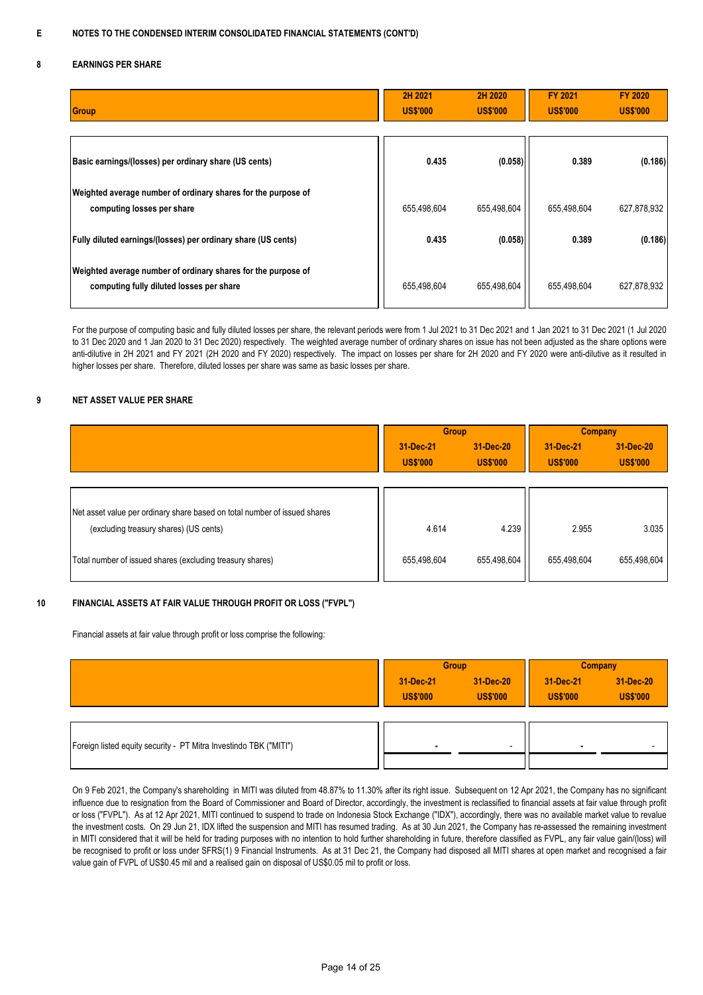#### **8 EARNINGS PER SHARE**

| Group                                                                                                     | 2H 2021<br><b>US\$'000</b> | 2H 2020<br><b>US\$'000</b> | <b>FY 2021</b><br><b>US\$'000</b> | <b>FY 2020</b><br><b>US\$'000</b> |
|-----------------------------------------------------------------------------------------------------------|----------------------------|----------------------------|-----------------------------------|-----------------------------------|
| Basic earnings/(losses) per ordinary share (US cents)                                                     | 0.435                      | (0.058)                    | 0.389                             | (0.186)                           |
| Weighted average number of ordinary shares for the purpose of<br>computing losses per share               | 655,498,604                | 655,498,604                | 655,498,604                       | 627,878,932                       |
| <b>Fully diluted earnings/(losses) per ordinary share (US cents)</b>                                      | 0.435                      | (0.058)                    | 0.389                             | (0.186)                           |
| Weighted average number of ordinary shares for the purpose of<br>computing fully diluted losses per share | 655,498,604                | 655,498,604                | 655,498,604                       | 627,878,932                       |

For the purpose of computing basic and fully diluted losses per share, the relevant periods were from 1 Jul 2021 to 31 Dec 2021 and 1 Jan 2021 to 31 Dec 2021 (1 Jul 2020 to 31 Dec 2020 and 1 Jan 2020 to 31 Dec 2020) respectively. The weighted average number of ordinary shares on issue has not been adjusted as the share options were anti-dilutive in 2H 2021 and FY 2021 (2H 2020 and FY 2020) respectively. The impact on losses per share for 2H 2020 and FY 2020 were anti-dilutive as it resulted in higher losses per share. Therefore, diluted losses per share was same as basic losses per share.

#### **9 NET ASSET VALUE PER SHARE**

|                                                                           | <b>Group</b>                 |                              | <b>Company</b>               |                              |
|---------------------------------------------------------------------------|------------------------------|------------------------------|------------------------------|------------------------------|
|                                                                           | 31-Dec-21<br><b>US\$'000</b> | 31-Dec-20<br><b>US\$'000</b> | 31-Dec-21<br><b>US\$'000</b> | 31-Dec-20<br><b>US\$'000</b> |
| Net asset value per ordinary share based on total number of issued shares |                              |                              |                              |                              |
| (excluding treasury shares) (US cents)                                    | 4.614                        | 4.239                        | 2.955                        | 3.035                        |
| Total number of issued shares (excluding treasury shares)                 | 655,498,604                  | 655,498,604                  | 655,498,604                  | 655,498,604                  |

#### **10 FINANCIAL ASSETS AT FAIR VALUE THROUGH PROFIT OR LOSS ("FVPL")**

Financial assets at fair value through profit or loss comprise the following:

|                                                                   | <b>Group</b>    |                 | <b>Company</b>  |                 |
|-------------------------------------------------------------------|-----------------|-----------------|-----------------|-----------------|
|                                                                   | 31-Dec-21       | 31-Dec-20       | 31-Dec-21       | 31-Dec-20       |
|                                                                   | <b>US\$'000</b> | <b>US\$'000</b> | <b>US\$'000</b> | <b>US\$'000</b> |
|                                                                   |                 |                 |                 |                 |
| Foreign listed equity security - PT Mitra Investindo TBK ("MITI") |                 |                 |                 |                 |
|                                                                   |                 |                 |                 |                 |

On 9 Feb 2021, the Company's shareholding in MITI was diluted from 48.87% to 11.30% after its right issue. Subsequent on 12 Apr 2021, the Company has no significant influence due to resignation from the Board of Commissioner and Board of Director, accordingly, the investment is reclassified to financial assets at fair value through profit or loss ("FVPL"). As at 12 Apr 2021, MITI continued to suspend to trade on Indonesia Stock Exchange ("IDX"), accordingly, there was no available market value to revalue the investment costs. On 29 Jun 21, IDX lifted the suspension and MITI has resumed trading. As at 30 Jun 2021, the Company has re-assessed the remaining investment in MITI considered that it will be held for trading purposes with no intention to hold further shareholding in future, therefore classified as FVPL, any fair value gain/(loss) will be recognised to profit or loss under SFRS(1) 9 Financial Instruments. As at 31 Dec 21, the Company had disposed all MITI shares at open market and recognised a fair value gain of FVPL of US\$0.45 mil and a realised gain on disposal of US\$0.05 mil to profit or loss.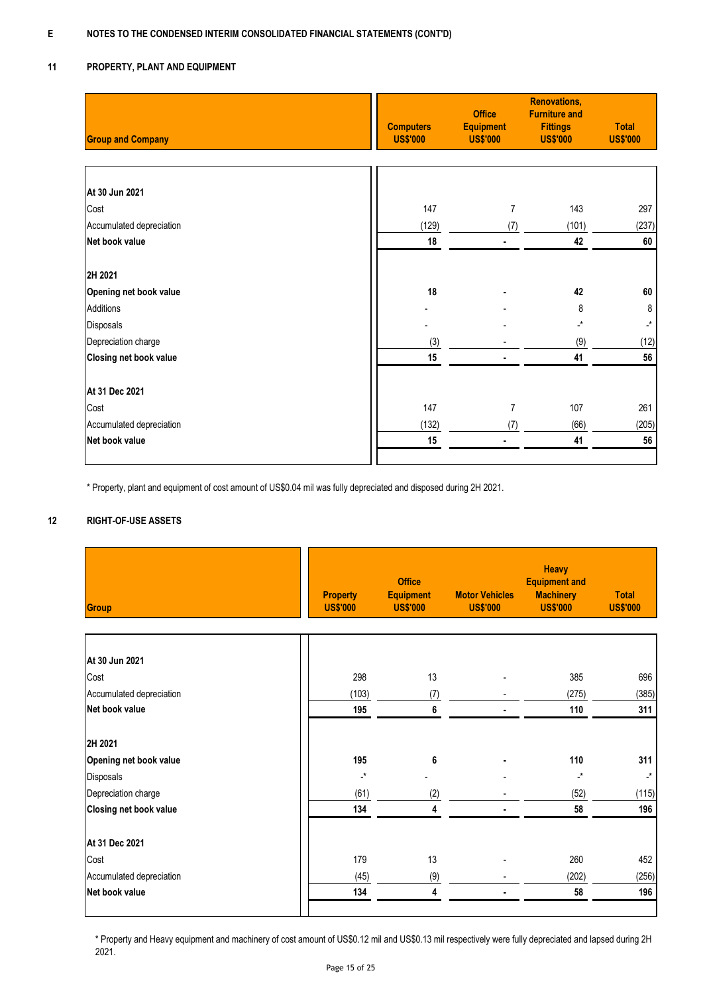#### **11 PROPERTY, PLANT AND EQUIPMENT**

| <b>Group and Company</b>      | <b>Computers</b><br><b>US\$'000</b> | <b>Office</b><br><b>Equipment</b><br><b>US\$'000</b> | <b>Renovations,</b><br><b>Furniture and</b><br><b>Fittings</b><br><b>US\$'000</b> | <b>Total</b><br><b>US\$'000</b> |
|-------------------------------|-------------------------------------|------------------------------------------------------|-----------------------------------------------------------------------------------|---------------------------------|
|                               |                                     |                                                      |                                                                                   |                                 |
| At 30 Jun 2021                |                                     |                                                      |                                                                                   |                                 |
| Cost                          | 147                                 | 7                                                    | 143                                                                               | 297                             |
| Accumulated depreciation      | (129)                               | (7)                                                  | (101)                                                                             | (237)                           |
| Net book value                | 18                                  | ۰                                                    | 42                                                                                | 60                              |
| 2H 2021                       |                                     |                                                      |                                                                                   |                                 |
| Opening net book value        | 18                                  |                                                      | 42                                                                                | 60                              |
| Additions                     |                                     |                                                      | 8                                                                                 | 8                               |
| Disposals                     |                                     |                                                      | _*                                                                                | $\cdot^{\star}$                 |
| Depreciation charge           | (3)                                 |                                                      | (9)                                                                               | (12)                            |
| <b>Closing net book value</b> | 15                                  |                                                      | 41                                                                                | 56                              |
| At 31 Dec 2021                |                                     |                                                      |                                                                                   |                                 |
| Cost                          | 147                                 | 7                                                    | 107                                                                               | 261                             |
| Accumulated depreciation      | (132)                               | (7)                                                  | (66)                                                                              | (205)                           |
| Net book value                | 15                                  | ä,                                                   | 41                                                                                | 56                              |
|                               |                                     |                                                      |                                                                                   |                                 |

\* Property, plant and equipment of cost amount of US\$0.04 mil was fully depreciated and disposed during 2H 2021.

#### **12 RIGHT-OF-USE ASSETS**

| Group                    | <b>Property</b><br><b>US\$'000</b> | <b>Office</b><br><b>Equipment</b><br><b>US\$'000</b> | <b>Motor Vehicles</b><br><b>US\$'000</b> | <b>Heavy</b><br><b>Equipment and</b><br><b>Machinery</b><br><b>US\$'000</b> | <b>Total</b><br><b>US\$'000</b> |
|--------------------------|------------------------------------|------------------------------------------------------|------------------------------------------|-----------------------------------------------------------------------------|---------------------------------|
|                          |                                    |                                                      |                                          |                                                                             |                                 |
| At 30 Jun 2021           |                                    |                                                      |                                          |                                                                             |                                 |
| Cost                     | 298                                | 13                                                   |                                          | 385                                                                         | 696                             |
| Accumulated depreciation | (103)                              | (7)                                                  |                                          | (275)                                                                       | (385)                           |
| Net book value           | 195                                | 6                                                    |                                          | 110                                                                         | 311                             |
| 2H 2021                  |                                    |                                                      |                                          |                                                                             |                                 |
| Opening net book value   | 195                                | 6                                                    |                                          | 110                                                                         | 311                             |
| Disposals                | $\cdot^{\star}$                    |                                                      |                                          | $\cdot^*$                                                                   | $\mathcal{L}^{\star}$           |
| Depreciation charge      | (61)                               | (2)                                                  |                                          | (52)                                                                        | (115)                           |
| Closing net book value   | 134                                | 4                                                    |                                          | 58                                                                          | 196                             |
| At 31 Dec 2021           |                                    |                                                      |                                          |                                                                             |                                 |
| Cost                     | 179                                | 13                                                   |                                          | 260                                                                         | 452                             |
| Accumulated depreciation | (45)                               | (9)                                                  |                                          | (202)                                                                       | (256)                           |
| Net book value           | 134                                | 4                                                    |                                          | 58                                                                          | 196                             |

\* Property and Heavy equipment and machinery of cost amount of US\$0.12 mil and US\$0.13 mil respectively were fully depreciated and lapsed during 2H 2021.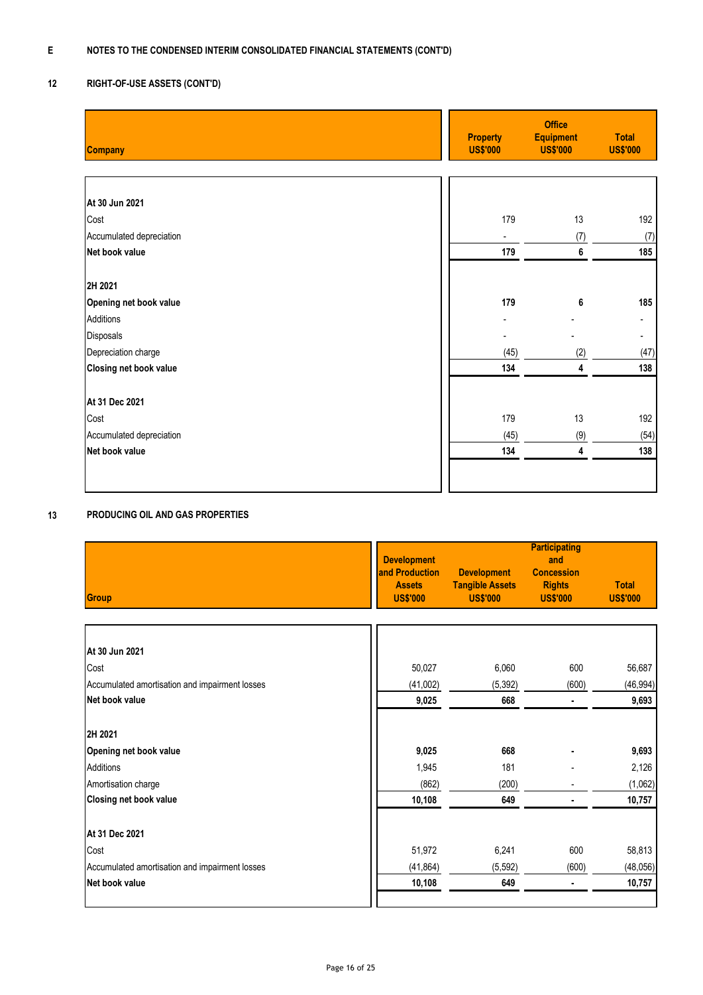#### **12 RIGHT-OF-USE ASSETS (CONT'D)**

| <b>Company</b>           | <b>Property</b><br><b>US\$'000</b> | <b>Office</b><br><b>Equipment</b><br><b>US\$'000</b> | <b>Total</b><br><b>US\$'000</b> |
|--------------------------|------------------------------------|------------------------------------------------------|---------------------------------|
|                          |                                    |                                                      |                                 |
|                          |                                    |                                                      |                                 |
| At 30 Jun 2021           |                                    |                                                      |                                 |
| Cost                     | 179                                | 13                                                   | 192                             |
| Accumulated depreciation | $\blacksquare$                     | (7)                                                  | (7)                             |
| Net book value           | 179                                | 6                                                    | 185                             |
|                          |                                    |                                                      |                                 |
| 2H 2021                  |                                    |                                                      |                                 |
| Opening net book value   | 179                                | 6                                                    | 185                             |
| Additions                |                                    |                                                      |                                 |
| Disposals                |                                    |                                                      | Ξ.                              |
| Depreciation charge      | (45)                               | (2)                                                  | (47)                            |
| Closing net book value   | 134                                | 4                                                    | 138                             |
|                          |                                    |                                                      |                                 |
| At 31 Dec 2021           |                                    |                                                      |                                 |
| Cost                     | 179                                | 13                                                   | 192                             |
| Accumulated depreciation | (45)                               | (9)                                                  | (54)                            |
| Net book value           | 134                                | 4                                                    | 138                             |
|                          |                                    |                                                      |                                 |
|                          |                                    |                                                      |                                 |

#### **13 PRODUCING OIL AND GAS PROPERTIES**

| Group                                          | <b>Development</b><br>and Production<br><b>Assets</b><br><b>US\$'000</b> | <b>Development</b><br><b>Tangible Assets</b><br><b>US\$'000</b> | <b>Participating</b><br>and<br><b>Concession</b><br><b>Rights</b><br><b>US\$'000</b> | <b>Total</b><br><b>US\$'000</b> |
|------------------------------------------------|--------------------------------------------------------------------------|-----------------------------------------------------------------|--------------------------------------------------------------------------------------|---------------------------------|
|                                                |                                                                          |                                                                 |                                                                                      |                                 |
| At 30 Jun 2021                                 |                                                                          |                                                                 |                                                                                      |                                 |
| Cost                                           | 50,027                                                                   | 6,060                                                           | 600                                                                                  | 56,687                          |
| Accumulated amortisation and impairment losses | (41,002)                                                                 | (5, 392)                                                        | (600)                                                                                | (46, 994)                       |
| Net book value                                 | 9,025                                                                    | 668                                                             |                                                                                      | 9,693                           |
| 2H 2021                                        |                                                                          |                                                                 |                                                                                      |                                 |
| Opening net book value                         | 9,025                                                                    | 668                                                             |                                                                                      | 9,693                           |
| Additions                                      | 1,945                                                                    | 181                                                             |                                                                                      | 2,126                           |
| Amortisation charge                            | (862)                                                                    | (200)                                                           |                                                                                      | (1,062)                         |
| Closing net book value                         | 10,108                                                                   | 649                                                             |                                                                                      | 10,757                          |
| At 31 Dec 2021                                 |                                                                          |                                                                 |                                                                                      |                                 |
| Cost                                           | 51,972                                                                   | 6,241                                                           | 600                                                                                  | 58,813                          |
| Accumulated amortisation and impairment losses | (41, 864)                                                                | (5, 592)                                                        | (600)                                                                                | (48, 056)                       |
| Net book value                                 | 10,108                                                                   | 649                                                             | ٠                                                                                    | 10,757                          |
|                                                |                                                                          |                                                                 |                                                                                      |                                 |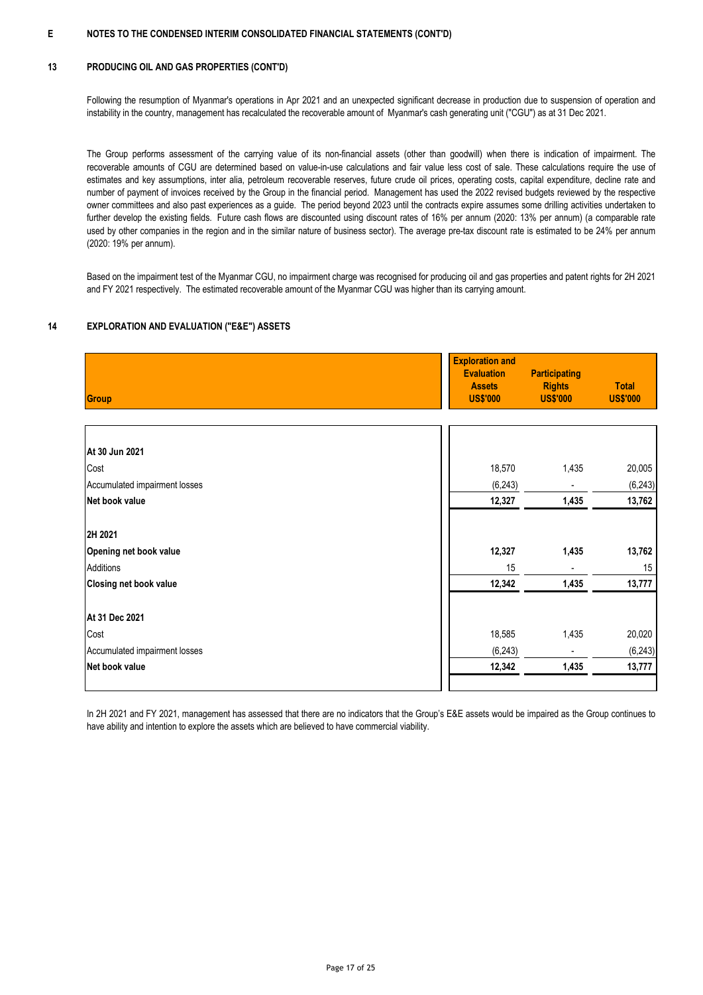#### **13 PRODUCING OIL AND GAS PROPERTIES (CONT'D)**

Following the resumption of Myanmar's operations in Apr 2021 and an unexpected significant decrease in production due to suspension of operation and instability in the country, management has recalculated the recoverable amount of Myanmar's cash generating unit ("CGU") as at 31 Dec 2021.

The Group performs assessment of the carrying value of its non-financial assets (other than goodwill) when there is indication of impairment. The recoverable amounts of CGU are determined based on value-in-use calculations and fair value less cost of sale. These calculations require the use of estimates and key assumptions, inter alia, petroleum recoverable reserves, future crude oil prices, operating costs, capital expenditure, decline rate and number of payment of invoices received by the Group in the financial period. Management has used the 2022 revised budgets reviewed by the respective owner committees and also past experiences as a guide. The period beyond 2023 until the contracts expire assumes some drilling activities undertaken to further develop the existing fields. Future cash flows are discounted using discount rates of 16% per annum (2020: 13% per annum) (a comparable rate used by other companies in the region and in the similar nature of business sector). The average pre-tax discount rate is estimated to be 24% per annum (2020: 19% per annum).

Based on the impairment test of the Myanmar CGU, no impairment charge was recognised for producing oil and gas properties and patent rights for 2H 2021 and FY 2021 respectively. The estimated recoverable amount of the Myanmar CGU was higher than its carrying amount.

#### **14 EXPLORATION AND EVALUATION ("E&E") ASSETS**

| Group                         | <b>Exploration and</b><br><b>Evaluation</b><br><b>Assets</b><br><b>US\$'000</b> | <b>Participating</b><br><b>Rights</b><br><b>US\$'000</b> | <b>Total</b><br><b>US\$'000</b> |
|-------------------------------|---------------------------------------------------------------------------------|----------------------------------------------------------|---------------------------------|
|                               |                                                                                 |                                                          |                                 |
| At 30 Jun 2021                |                                                                                 |                                                          |                                 |
| Cost                          | 18,570                                                                          | 1,435                                                    | 20,005                          |
| Accumulated impairment losses | (6, 243)                                                                        |                                                          | (6, 243)                        |
| Net book value                | 12,327                                                                          | 1,435                                                    | 13,762                          |
| 2H 2021                       |                                                                                 |                                                          |                                 |
| Opening net book value        | 12,327                                                                          | 1,435                                                    | 13,762                          |
| Additions                     | 15                                                                              |                                                          | 15                              |
| <b>Closing net book value</b> | 12,342                                                                          | 1,435                                                    | 13,777                          |
| At 31 Dec 2021                |                                                                                 |                                                          |                                 |
| Cost                          | 18,585                                                                          | 1,435                                                    | 20,020                          |
| Accumulated impairment losses | (6, 243)                                                                        |                                                          | (6, 243)                        |
| Net book value                | 12,342                                                                          | 1,435                                                    | 13,777                          |
|                               |                                                                                 |                                                          |                                 |

In 2H 2021 and FY 2021, management has assessed that there are no indicators that the Group's E&E assets would be impaired as the Group continues to have ability and intention to explore the assets which are believed to have commercial viability.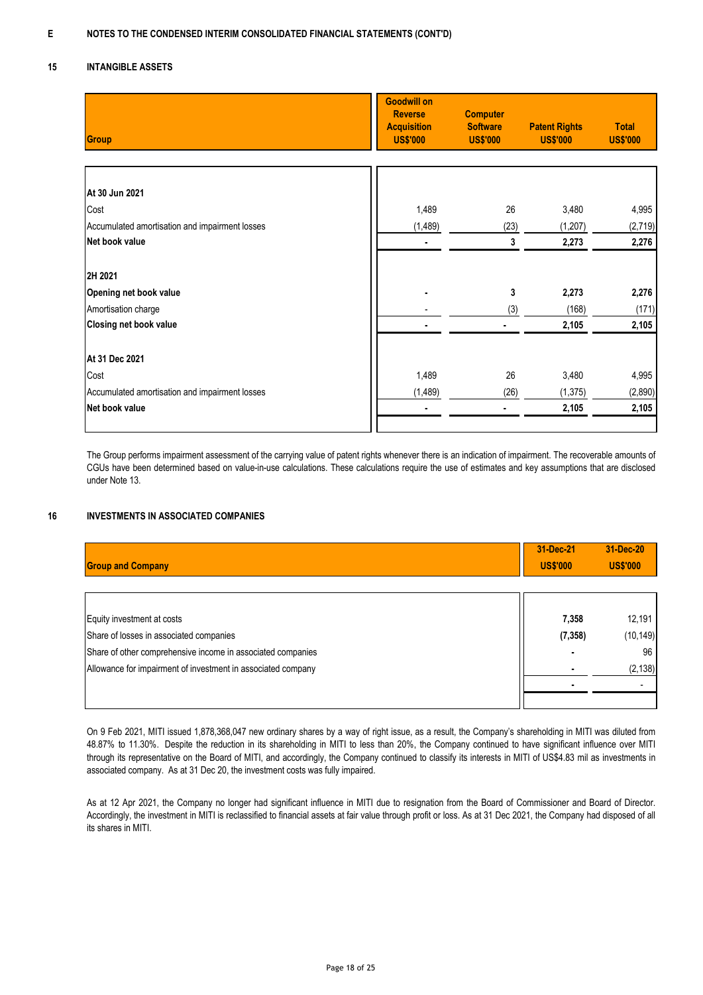#### **15 INTANGIBLE ASSETS**

| Group                                          | <b>Goodwill on</b><br><b>Reverse</b><br><b>Acquisition</b><br><b>US\$'000</b> | <b>Computer</b><br><b>Software</b><br><b>US\$'000</b> | <b>Patent Rights</b><br><b>US\$'000</b> | <b>Total</b><br><b>US\$'000</b> |
|------------------------------------------------|-------------------------------------------------------------------------------|-------------------------------------------------------|-----------------------------------------|---------------------------------|
|                                                |                                                                               |                                                       |                                         |                                 |
| At 30 Jun 2021                                 |                                                                               |                                                       |                                         |                                 |
| Cost                                           | 1,489                                                                         | 26                                                    | 3,480                                   | 4,995                           |
| Accumulated amortisation and impairment losses | (1, 489)                                                                      | (23)                                                  | (1, 207)                                | (2,719)                         |
| Net book value                                 |                                                                               | 3                                                     | 2,273                                   | 2,276                           |
| 2H 2021                                        |                                                                               |                                                       |                                         |                                 |
| Opening net book value                         |                                                                               | 3                                                     | 2,273                                   | 2,276                           |
| Amortisation charge                            |                                                                               | (3)                                                   | (168)                                   | (171)                           |
| Closing net book value                         |                                                                               |                                                       | 2,105                                   | 2,105                           |
| At 31 Dec 2021                                 |                                                                               |                                                       |                                         |                                 |
| Cost                                           | 1,489                                                                         | 26                                                    | 3,480                                   | 4,995                           |
| Accumulated amortisation and impairment losses | (1, 489)                                                                      | (26)                                                  | (1, 375)                                | (2,890)                         |
| Net book value                                 |                                                                               |                                                       | 2,105                                   | 2,105                           |
|                                                |                                                                               |                                                       |                                         |                                 |

The Group performs impairment assessment of the carrying value of patent rights whenever there is an indication of impairment. The recoverable amounts of CGUs have been determined based on value-in-use calculations. These calculations require the use of estimates and key assumptions that are disclosed under Note 13.

#### **16 INVESTMENTS IN ASSOCIATED COMPANIES**

| <b>Group and Company</b>                                     | 31-Dec-21<br><b>US\$'000</b> | 31-Dec-20<br><b>US\$'000</b> |
|--------------------------------------------------------------|------------------------------|------------------------------|
|                                                              |                              |                              |
| Equity investment at costs                                   | 7,358                        | 12,191                       |
| Share of losses in associated companies                      | (7, 358)                     | (10, 149)                    |
| Share of other comprehensive income in associated companies  |                              | 96                           |
| Allowance for impairment of investment in associated company |                              | (2, 138)                     |
|                                                              |                              |                              |
|                                                              |                              |                              |

On 9 Feb 2021, MITI issued 1,878,368,047 new ordinary shares by a way of right issue, as a result, the Company's shareholding in MITI was diluted from 48.87% to 11.30%. Despite the reduction in its shareholding in MITI to less than 20%, the Company continued to have significant influence over MITI through its representative on the Board of MITI, and accordingly, the Company continued to classify its interests in MITI of US\$4.83 mil as investments in associated company. As at 31 Dec 20, the investment costs was fully impaired.

As at 12 Apr 2021, the Company no longer had significant influence in MITI due to resignation from the Board of Commissioner and Board of Director. Accordingly, the investment in MITI is reclassified to financial assets at fair value through profit or loss. As at 31 Dec 2021, the Company had disposed of all its shares in MITI.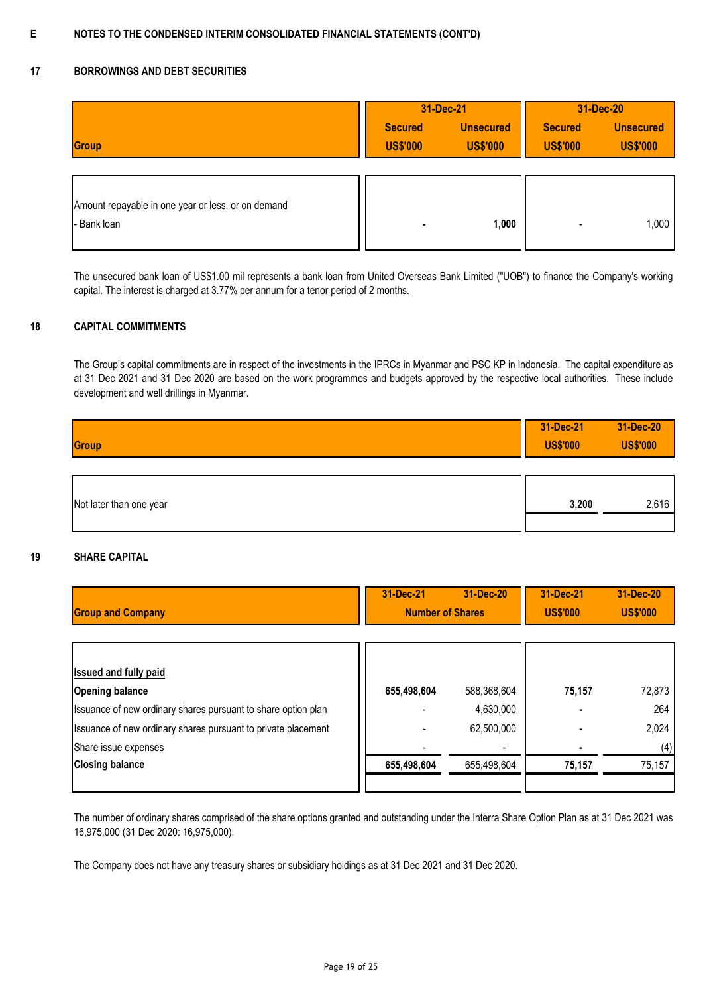## **17 BORROWINGS AND DEBT SECURITIES**

|                                                    | 31-Dec-21                         |                                     | 31-Dec-20                         |                                     |
|----------------------------------------------------|-----------------------------------|-------------------------------------|-----------------------------------|-------------------------------------|
| Group                                              | <b>Secured</b><br><b>US\$'000</b> | <b>Unsecured</b><br><b>US\$'000</b> | <b>Secured</b><br><b>US\$'000</b> | <b>Unsecured</b><br><b>US\$'000</b> |
|                                                    |                                   |                                     |                                   |                                     |
| Amount repayable in one year or less, or on demand |                                   |                                     |                                   |                                     |
| - Bank loan                                        |                                   | 1,000                               |                                   | 1,000                               |

The unsecured bank loan of US\$1.00 mil represents a bank loan from United Overseas Bank Limited ("UOB") to finance the Company's working capital. The interest is charged at 3.77% per annum for a tenor period of 2 months.

#### **18 CAPITAL COMMITMENTS**

The Group's capital commitments are in respect of the investments in the IPRCs in Myanmar and PSC KP in Indonesia. The capital expenditure as at 31 Dec 2021 and 31 Dec 2020 are based on the work programmes and budgets approved by the respective local authorities. These include development and well drillings in Myanmar.

| Group                   | 31-Dec-21<br><b>US\$'000</b> | 31-Dec-20<br><b>US\$'000</b> |
|-------------------------|------------------------------|------------------------------|
| Not later than one year | 3,200                        | 2,616                        |

### **19 SHARE CAPITAL**

|                                                               | 31-Dec-21               | 31-Dec-20   | 31-Dec-21       | 31-Dec-20       |
|---------------------------------------------------------------|-------------------------|-------------|-----------------|-----------------|
| <b>Group and Company</b>                                      | <b>Number of Shares</b> |             | <b>US\$'000</b> | <b>US\$'000</b> |
|                                                               |                         |             |                 |                 |
|                                                               |                         |             |                 |                 |
| <b>Issued and fully paid</b>                                  |                         |             |                 |                 |
| <b>Opening balance</b>                                        | 655,498,604             | 588,368,604 | 75,157          | 72,873          |
| Issuance of new ordinary shares pursuant to share option plan |                         | 4,630,000   |                 | 264             |
| Issuance of new ordinary shares pursuant to private placement |                         | 62,500,000  |                 | 2,024           |
| Share issue expenses                                          |                         |             |                 | (4)             |
| <b>Closing balance</b>                                        | 655,498,604             | 655,498,604 | 75,157          | 75,157          |
|                                                               |                         |             |                 |                 |

The number of ordinary shares comprised of the share options granted and outstanding under the Interra Share Option Plan as at 31 Dec 2021 was 16,975,000 (31 Dec 2020: 16,975,000).

The Company does not have any treasury shares or subsidiary holdings as at 31 Dec 2021 and 31 Dec 2020.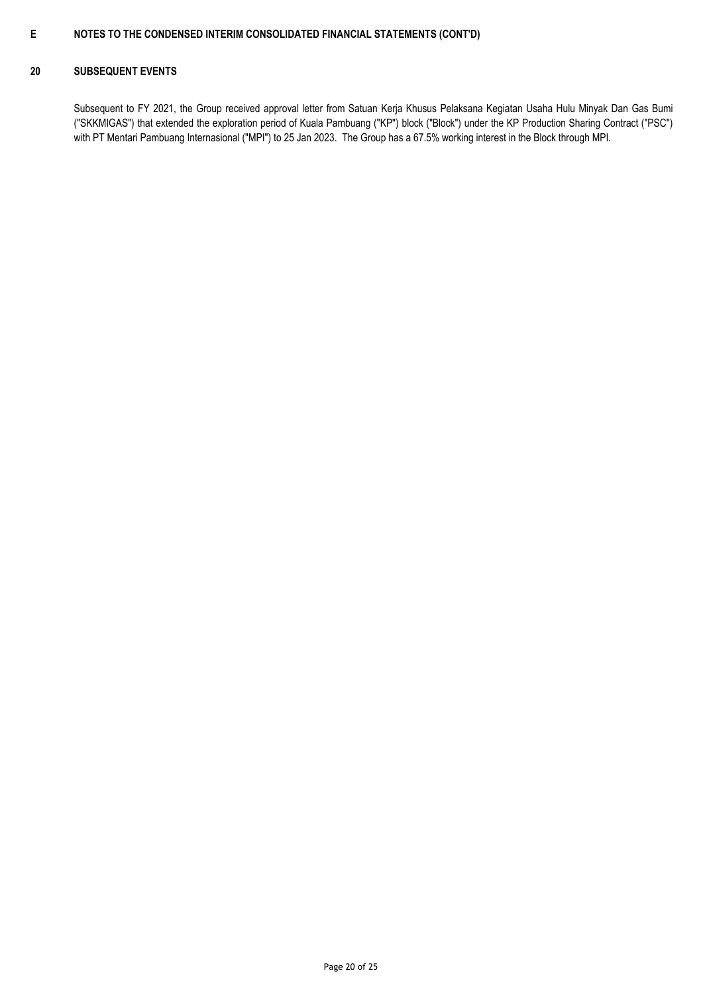### **20 SUBSEQUENT EVENTS**

Subsequent to FY 2021, the Group received approval letter from Satuan Kerja Khusus Pelaksana Kegiatan Usaha Hulu Minyak Dan Gas Bumi ("SKKMIGAS") that extended the exploration period of Kuala Pambuang ("KP") block ("Block") under the KP Production Sharing Contract ("PSC") with PT Mentari Pambuang Internasional ("MPI") to 25 Jan 2023. The Group has a 67.5% working interest in the Block through MPI.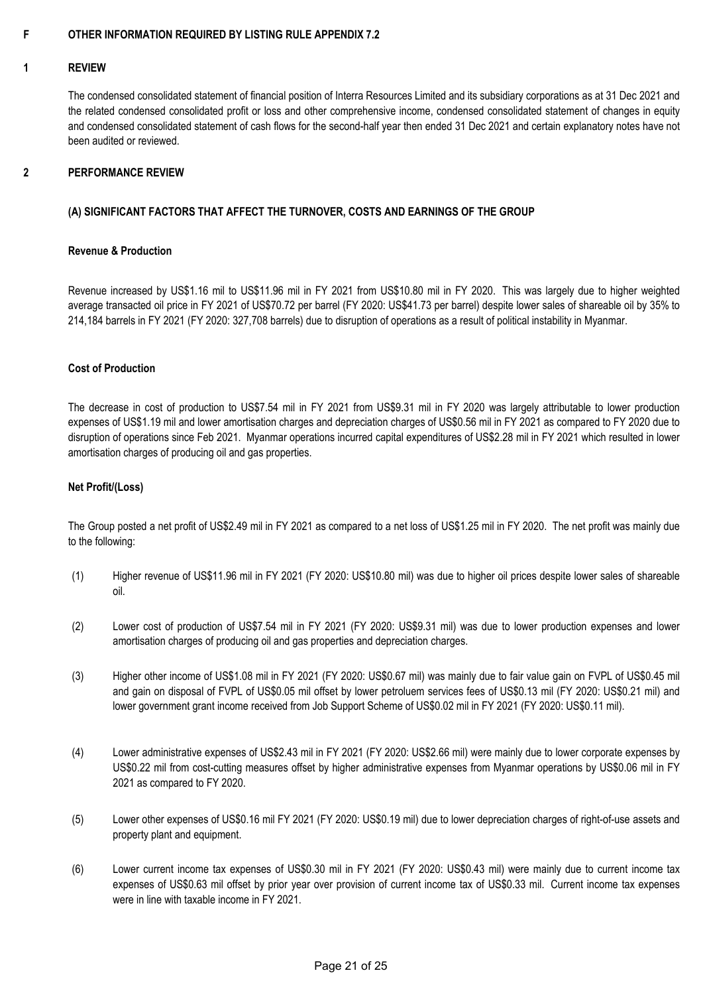#### **F OTHER INFORMATION REQUIRED BY LISTING RULE APPENDIX 7.2**

#### **1 REVIEW**

The condensed consolidated statement of financial position of Interra Resources Limited and its subsidiary corporations as at 31 Dec 2021 and the related condensed consolidated profit or loss and other comprehensive income, condensed consolidated statement of changes in equity and condensed consolidated statement of cash flows for the second-half year then ended 31 Dec 2021 and certain explanatory notes have not been audited or reviewed.

#### **2 PERFORMANCE REVIEW**

### **(A) SIGNIFICANT FACTORS THAT AFFECT THE TURNOVER, COSTS AND EARNINGS OF THE GROUP**

### **Revenue & Production**

Revenue increased by US\$1.16 mil to US\$11.96 mil in FY 2021 from US\$10.80 mil in FY 2020. This was largely due to higher weighted average transacted oil price in FY 2021 of US\$70.72 per barrel (FY 2020: US\$41.73 per barrel) despite lower sales of shareable oil by 35% to 214,184 barrels in FY 2021 (FY 2020: 327,708 barrels) due to disruption of operations as a result of political instability in Myanmar.

### **Cost of Production**

The decrease in cost of production to US\$7.54 mil in FY 2021 from US\$9.31 mil in FY 2020 was largely attributable to lower production expenses of US\$1.19 mil and lower amortisation charges and depreciation charges of US\$0.56 mil in FY 2021 as compared to FY 2020 due to disruption of operations since Feb 2021. Myanmar operations incurred capital expenditures of US\$2.28 mil in FY 2021 which resulted in lower amortisation charges of producing oil and gas properties.

### **Net Profit/(Loss)**

The Group posted a net profit of US\$2.49 mil in FY 2021 as compared to a net loss of US\$1.25 mil in FY 2020. The net profit was mainly due to the following:

- (1) Higher revenue of US\$11.96 mil in FY 2021 (FY 2020: US\$10.80 mil) was due to higher oil prices despite lower sales of shareable oil.
- (2) Lower cost of production of US\$7.54 mil in FY 2021 (FY 2020: US\$9.31 mil) was due to lower production expenses and lower amortisation charges of producing oil and gas properties and depreciation charges.
- (3) Higher other income of US\$1.08 mil in FY 2021 (FY 2020: US\$0.67 mil) was mainly due to fair value gain on FVPL of US\$0.45 mil and gain on disposal of FVPL of US\$0.05 mil offset by lower petroluem services fees of US\$0.13 mil (FY 2020: US\$0.21 mil) and lower government grant income received from Job Support Scheme of US\$0.02 mil in FY 2021 (FY 2020: US\$0.11 mil).
- (4) Lower administrative expenses of US\$2.43 mil in FY 2021 (FY 2020: US\$2.66 mil) were mainly due to lower corporate expenses by US\$0.22 mil from cost-cutting measures offset by higher administrative expenses from Myanmar operations by US\$0.06 mil in FY 2021 as compared to FY 2020.
- (5) Lower other expenses of US\$0.16 mil FY 2021 (FY 2020: US\$0.19 mil) due to lower depreciation charges of right-of-use assets and property plant and equipment.
- (6) Lower current income tax expenses of US\$0.30 mil in FY 2021 (FY 2020: US\$0.43 mil) were mainly due to current income tax expenses of US\$0.63 mil offset by prior year over provision of current income tax of US\$0.33 mil. Current income tax expenses were in line with taxable income in FY 2021.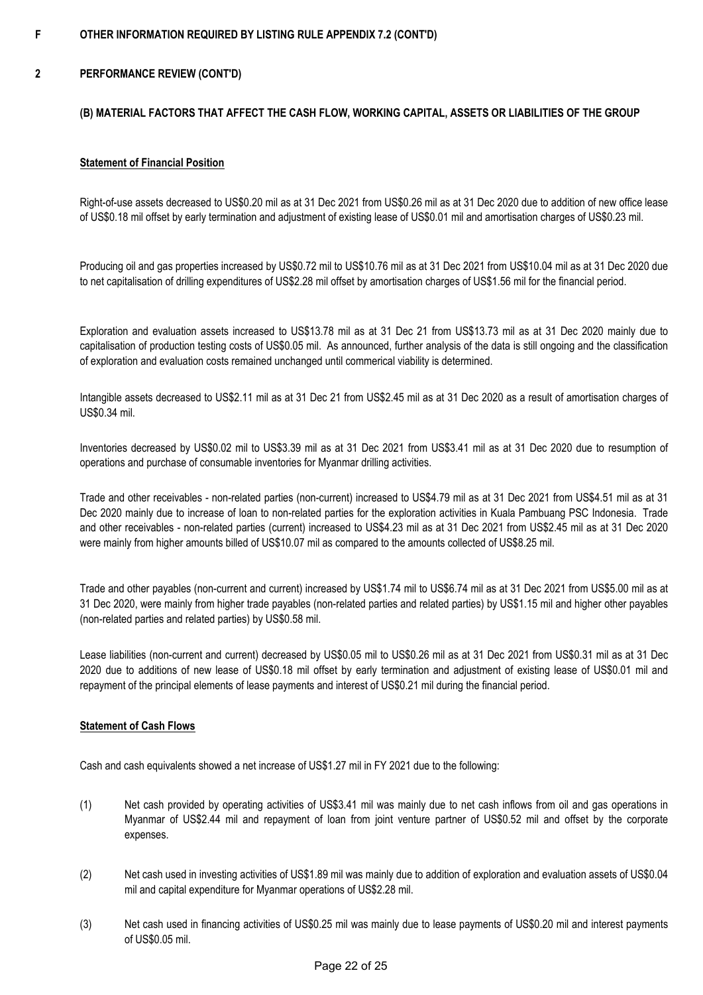#### **F OTHER INFORMATION REQUIRED BY LISTING RULE APPENDIX 7.2 (CONT'D)**

#### **2 PERFORMANCE REVIEW (CONT'D)**

### **(B) MATERIAL FACTORS THAT AFFECT THE CASH FLOW, WORKING CAPITAL, ASSETS OR LIABILITIES OF THE GROUP**

### **Statement of Financial Position**

Right-of-use assets decreased to US\$0.20 mil as at 31 Dec 2021 from US\$0.26 mil as at 31 Dec 2020 due to addition of new office lease of US\$0.18 mil offset by early termination and adjustment of existing lease of US\$0.01 mil and amortisation charges of US\$0.23 mil.

Producing oil and gas properties increased by US\$0.72 mil to US\$10.76 mil as at 31 Dec 2021 from US\$10.04 mil as at 31 Dec 2020 due to net capitalisation of drilling expenditures of US\$2.28 mil offset by amortisation charges of US\$1.56 mil for the financial period.

Exploration and evaluation assets increased to US\$13.78 mil as at 31 Dec 21 from US\$13.73 mil as at 31 Dec 2020 mainly due to capitalisation of production testing costs of US\$0.05 mil. As announced, further analysis of the data is still ongoing and the classification of exploration and evaluation costs remained unchanged until commerical viability is determined.

Intangible assets decreased to US\$2.11 mil as at 31 Dec 21 from US\$2.45 mil as at 31 Dec 2020 as a result of amortisation charges of US\$0.34 mil.

Inventories decreased by US\$0.02 mil to US\$3.39 mil as at 31 Dec 2021 from US\$3.41 mil as at 31 Dec 2020 due to resumption of operations and purchase of consumable inventories for Myanmar drilling activities.

Trade and other receivables - non-related parties (non-current) increased to US\$4.79 mil as at 31 Dec 2021 from US\$4.51 mil as at 31 Dec 2020 mainly due to increase of loan to non-related parties for the exploration activities in Kuala Pambuang PSC Indonesia. Trade and other receivables - non-related parties (current) increased to US\$4.23 mil as at 31 Dec 2021 from US\$2.45 mil as at 31 Dec 2020 were mainly from higher amounts billed of US\$10.07 mil as compared to the amounts collected of US\$8.25 mil.

Trade and other payables (non-current and current) increased by US\$1.74 mil to US\$6.74 mil as at 31 Dec 2021 from US\$5.00 mil as at 31 Dec 2020, were mainly from higher trade payables (non-related parties and related parties) by US\$1.15 mil and higher other payables (non-related parties and related parties) by US\$0.58 mil.

Lease liabilities (non-current and current) decreased by US\$0.05 mil to US\$0.26 mil as at 31 Dec 2021 from US\$0.31 mil as at 31 Dec 2020 due to additions of new lease of US\$0.18 mil offset by early termination and adjustment of existing lease of US\$0.01 mil and repayment of the principal elements of lease payments and interest of US\$0.21 mil during the financial period.

### **Statement of Cash Flows**

Cash and cash equivalents showed a net increase of US\$1.27 mil in FY 2021 due to the following:

- (1) Net cash provided by operating activities of US\$3.41 mil was mainly due to net cash inflows from oil and gas operations in Myanmar of US\$2.44 mil and repayment of loan from joint venture partner of US\$0.52 mil and offset by the corporate expenses.
- (2) Net cash used in investing activities of US\$1.89 mil was mainly due to addition of exploration and evaluation assets of US\$0.04 mil and capital expenditure for Myanmar operations of US\$2.28 mil.
- (3) Net cash used in financing activities of US\$0.25 mil was mainly due to lease payments of US\$0.20 mil and interest payments of US\$0.05 mil.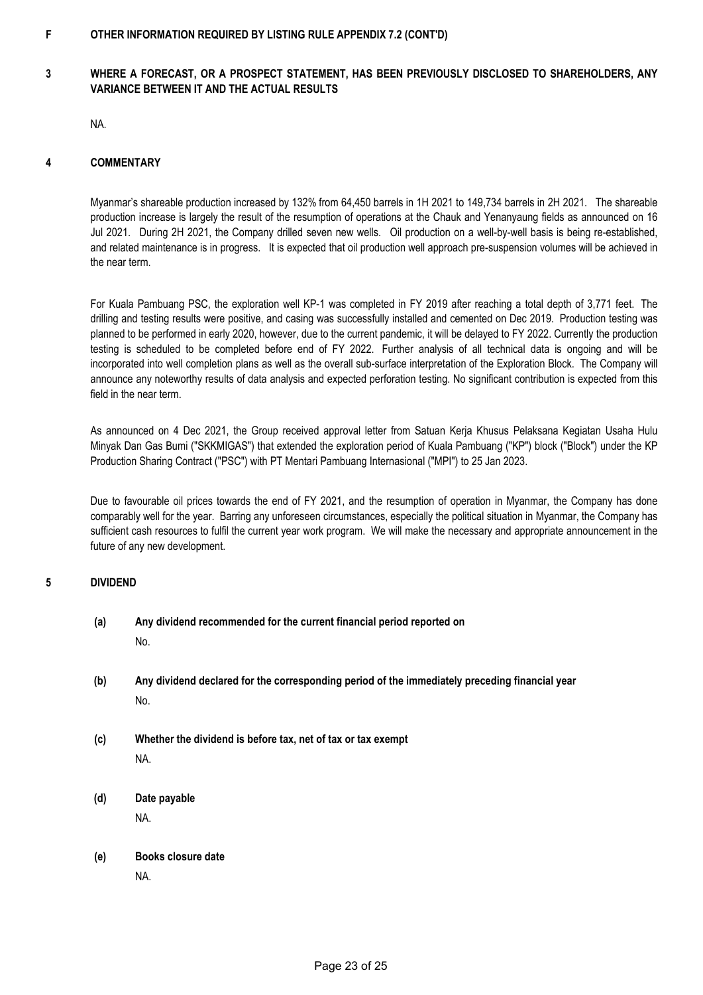#### **F OTHER INFORMATION REQUIRED BY LISTING RULE APPENDIX 7.2 (CONT'D)**

### **3 WHERE A FORECAST, OR A PROSPECT STATEMENT, HAS BEEN PREVIOUSLY DISCLOSED TO SHAREHOLDERS, ANY VARIANCE BETWEEN IT AND THE ACTUAL RESULTS**

NA.

#### **4 COMMENTARY**

Myanmar's shareable production increased by 132% from 64,450 barrels in 1H 2021 to 149,734 barrels in 2H 2021. The shareable production increase is largely the result of the resumption of operations at the Chauk and Yenanyaung fields as announced on 16 Jul 2021. During 2H 2021, the Company drilled seven new wells. Oil production on a well-by-well basis is being re-established, and related maintenance is in progress. It is expected that oil production well approach pre-suspension volumes will be achieved in the near term.

For Kuala Pambuang PSC, the exploration well KP-1 was completed in FY 2019 after reaching a total depth of 3,771 feet. The drilling and testing results were positive, and casing was successfully installed and cemented on Dec 2019. Production testing was planned to be performed in early 2020, however, due to the current pandemic, it will be delayed to FY 2022. Currently the production testing is scheduled to be completed before end of FY 2022. Further analysis of all technical data is ongoing and will be incorporated into well completion plans as well as the overall sub-surface interpretation of the Exploration Block. The Company will announce any noteworthy results of data analysis and expected perforation testing. No significant contribution is expected from this field in the near term.

As announced on 4 Dec 2021, the Group received approval letter from Satuan Kerja Khusus Pelaksana Kegiatan Usaha Hulu Minyak Dan Gas Bumi ("SKKMIGAS") that extended the exploration period of Kuala Pambuang ("KP") block ("Block") under the KP Production Sharing Contract ("PSC") with PT Mentari Pambuang Internasional ("MPI") to 25 Jan 2023.

Due to favourable oil prices towards the end of FY 2021, and the resumption of operation in Myanmar, the Company has done comparably well for the year. Barring any unforeseen circumstances, especially the political situation in Myanmar, the Company has sufficient cash resources to fulfil the current year work program. We will make the necessary and appropriate announcement in the future of any new development.

#### **5 DIVIDEND**

## **(a) Any dividend recommended for the current financial period reported on** No.

- **(b) Any dividend declared for the corresponding period of the immediately preceding financial year** No.
- **(c) Whether the dividend is before tax, net of tax or tax exempt** NA.
- **(d) Date payable** NA.
- **(e) Books closure date** NA.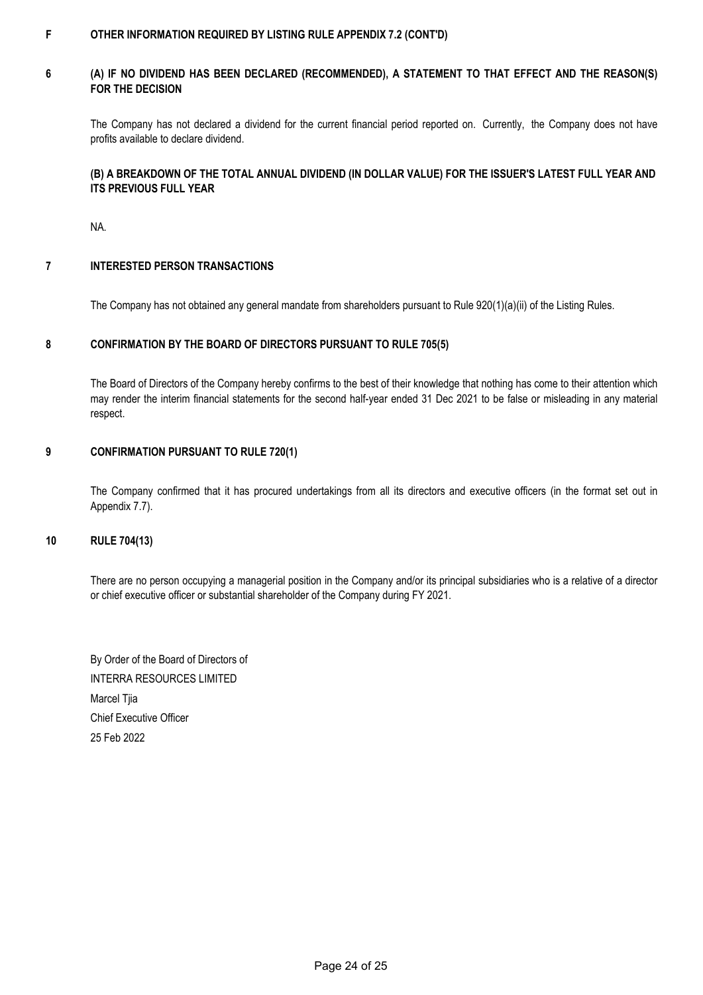#### **F OTHER INFORMATION REQUIRED BY LISTING RULE APPENDIX 7.2 (CONT'D)**

#### **6 (A) IF NO DIVIDEND HAS BEEN DECLARED (RECOMMENDED), A STATEMENT TO THAT EFFECT AND THE REASON(S) FOR THE DECISION**

The Company has not declared a dividend for the current financial period reported on. Currently, the Company does not have profits available to declare dividend.

### **(B) A BREAKDOWN OF THE TOTAL ANNUAL DIVIDEND (IN DOLLAR VALUE) FOR THE ISSUER'S LATEST FULL YEAR AND ITS PREVIOUS FULL YEAR**

NA.

#### **7 INTERESTED PERSON TRANSACTIONS**

The Company has not obtained any general mandate from shareholders pursuant to Rule 920(1)(a)(ii) of the Listing Rules.

#### **8 CONFIRMATION BY THE BOARD OF DIRECTORS PURSUANT TO RULE 705(5)**

The Board of Directors of the Company hereby confirms to the best of their knowledge that nothing has come to their attention which may render the interim financial statements for the second half-year ended 31 Dec 2021 to be false or misleading in any material respect.

#### **9 CONFIRMATION PURSUANT TO RULE 720(1)**

The Company confirmed that it has procured undertakings from all its directors and executive officers (in the format set out in Appendix 7.7).

### **10 RULE 704(13)**

There are no person occupying a managerial position in the Company and/or its principal subsidiaries who is a relative of a director or chief executive officer or substantial shareholder of the Company during FY 2021.

25 Feb 2022 By Order of the Board of Directors of INTERRA RESOURCES LIMITED Marcel Tjia Chief Executive Officer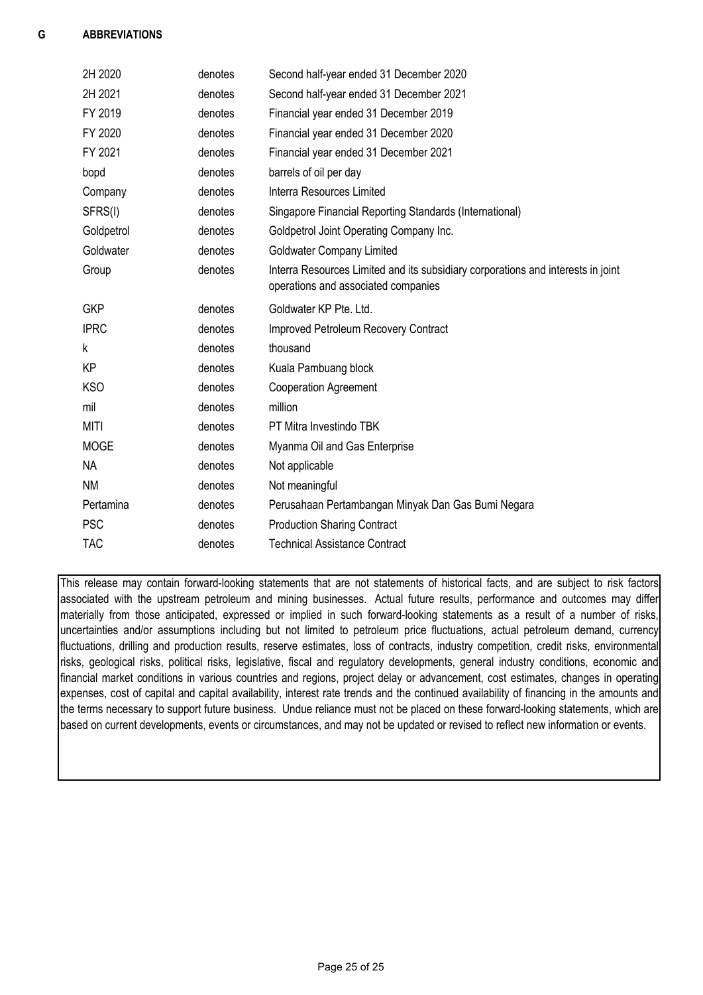| 2H 2020     | denotes | Second half-year ended 31 December 2020                                                                                 |
|-------------|---------|-------------------------------------------------------------------------------------------------------------------------|
| 2H 2021     | denotes | Second half-year ended 31 December 2021                                                                                 |
| FY 2019     | denotes | Financial year ended 31 December 2019                                                                                   |
| FY 2020     | denotes | Financial year ended 31 December 2020                                                                                   |
| FY 2021     | denotes | Financial year ended 31 December 2021                                                                                   |
| bopd        | denotes | barrels of oil per day                                                                                                  |
| Company     | denotes | <b>Interra Resources Limited</b>                                                                                        |
| SFRS(I)     | denotes | Singapore Financial Reporting Standards (International)                                                                 |
| Goldpetrol  | denotes | Goldpetrol Joint Operating Company Inc.                                                                                 |
| Goldwater   | denotes | <b>Goldwater Company Limited</b>                                                                                        |
| Group       | denotes | Interra Resources Limited and its subsidiary corporations and interests in joint<br>operations and associated companies |
| <b>GKP</b>  | denotes | Goldwater KP Pte. Ltd.                                                                                                  |
| <b>IPRC</b> | denotes | Improved Petroleum Recovery Contract                                                                                    |
| k           | denotes | thousand                                                                                                                |
| КP          | denotes | Kuala Pambuang block                                                                                                    |
| <b>KSO</b>  | denotes | <b>Cooperation Agreement</b>                                                                                            |
| mil         | denotes | million                                                                                                                 |
| <b>MITI</b> | denotes | PT Mitra Investindo TBK                                                                                                 |
| <b>MOGE</b> | denotes | Myanma Oil and Gas Enterprise                                                                                           |
| <b>NA</b>   | denotes | Not applicable                                                                                                          |
| <b>NM</b>   | denotes | Not meaningful                                                                                                          |
| Pertamina   | denotes | Perusahaan Pertambangan Minyak Dan Gas Bumi Negara                                                                      |
| <b>PSC</b>  | denotes | <b>Production Sharing Contract</b>                                                                                      |
| <b>TAC</b>  | denotes | <b>Technical Assistance Contract</b>                                                                                    |

This release may contain forward-looking statements that are not statements of historical facts, and are subject to risk factors associated with the upstream petroleum and mining businesses. Actual future results, performance and outcomes may differ materially from those anticipated, expressed or implied in such forward-looking statements as a result of a number of risks, uncertainties and/or assumptions including but not limited to petroleum price fluctuations, actual petroleum demand, currency fluctuations, drilling and production results, reserve estimates, loss of contracts, industry competition, credit risks, environmental risks, geological risks, political risks, legislative, fiscal and regulatory developments, general industry conditions, economic and financial market conditions in various countries and regions, project delay or advancement, cost estimates, changes in operating expenses, cost of capital and capital availability, interest rate trends and the continued availability of financing in the amounts and the terms necessary to support future business. Undue reliance must not be placed on these forward-looking statements, which are based on current developments, events or circumstances, and may not be updated or revised to reflect new information or events.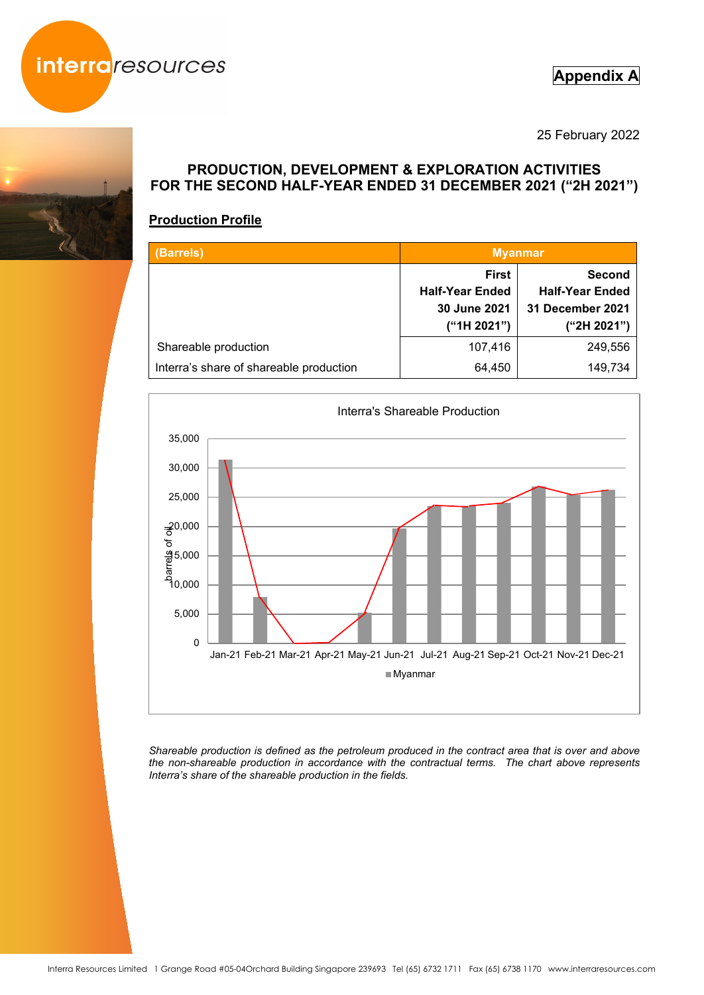

## **Appendix A**

25 February 2022



## **Production Profile**

| (Barrels)                               | <b>Myanmar</b>                                                        |                                                                            |  |
|-----------------------------------------|-----------------------------------------------------------------------|----------------------------------------------------------------------------|--|
|                                         | <b>First</b><br><b>Half-Year Ended</b><br>30 June 2021<br>("1H 2021") | <b>Second</b><br><b>Half-Year Ended</b><br>31 December 2021<br>("2H 2021") |  |
| Shareable production                    | 107,416                                                               | 249,556                                                                    |  |
| Interra's share of shareable production | 64,450                                                                | 149,734                                                                    |  |



*Shareable production is defined as the petroleum produced in the contract area that is over and above the non-shareable production in accordance with the contractual terms. The chart above represents Interra's share of the shareable production in the fields.*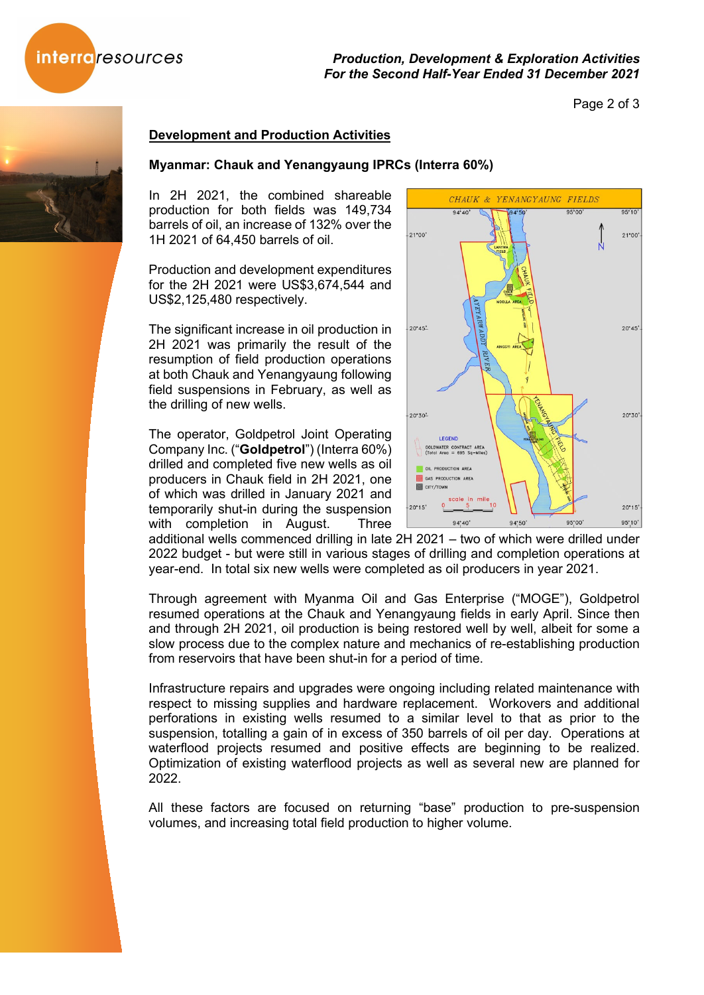



### Page 2 of 3

## **Development and Production Activities**

### **Myanmar: Chauk and Yenangyaung IPRCs (Interra 60%)**

In 2H 2021, the combined shareable production for both fields was 149,734 barrels of oil, an increase of 132% over the 1H 2021 of 64,450 barrels of oil.

Production and development expenditures for the 2H 2021 were US\$3,674,544 and US\$2,125,480 respectively.

The significant increase in oil production in 2H 2021 was primarily the result of the resumption of field production operations at both Chauk and Yenangyaung following field suspensions in February, as well as the drilling of new wells.

The operator, Goldpetrol Joint Operating Company Inc. ("**Goldpetrol**") (Interra 60%) drilled and completed five new wells as oil producers in Chauk field in 2H 2021, one of which was drilled in January 2021 and temporarily shut-in during the suspension with completion in August. Three



additional wells commenced drilling in late 2H 2021 – two of which were drilled under 2022 budget - but were still in various stages of drilling and completion operations at year-end. In total six new wells were completed as oil producers in year 2021.

Through agreement with Myanma Oil and Gas Enterprise ("MOGE"), Goldpetrol resumed operations at the Chauk and Yenangyaung fields in early April. Since then and through 2H 2021, oil production is being restored well by well, albeit for some a slow process due to the complex nature and mechanics of re-establishing production from reservoirs that have been shut-in for a period of time.

Infrastructure repairs and upgrades were ongoing including related maintenance with respect to missing supplies and hardware replacement. Workovers and additional perforations in existing wells resumed to a similar level to that as prior to the suspension, totalling a gain of in excess of 350 barrels of oil per day. Operations at waterflood projects resumed and positive effects are beginning to be realized. Optimization of existing waterflood projects as well as several new are planned for 2022.

All these factors are focused on returning "base" production to pre-suspension volumes, and increasing total field production to higher volume.